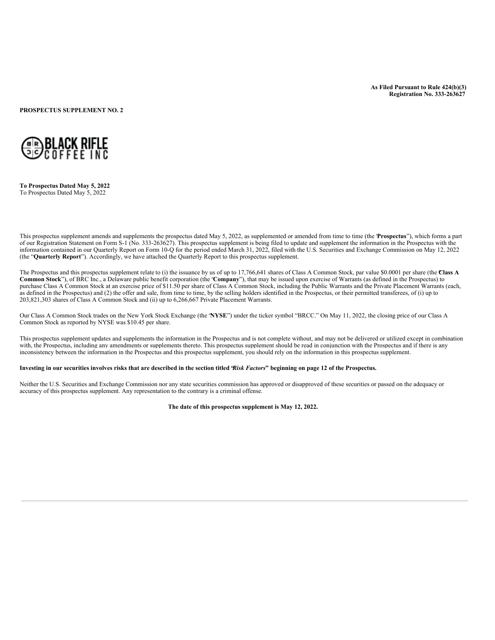**As Filed Pursuant to Rule 424(b)(3) Registration No. 333-263627**

**PROSPECTUS SUPPLEMENT NO. 2**



**To Prospectus Dated May 5, 2022** To Prospectus Dated May 5, 2022

This prospectus supplement amends and supplements the prospectus dated May 5, 2022, as supplemented or amended from time to time (the "**Prospectus**"), which forms a part of our Registration Statement on Form S-1 (No. 333-263627). This prospectus supplement is being filed to update and supplement the information in the Prospectus with the information contained in our Quarterly Report on Form 10-Q for the period ended March 31, 2022, filed with the U.S. Securities and Exchange Commission on May 12, 2022 (the "**Quarterly Report**"). Accordingly, we have attached the Quarterly Report to this prospectus supplement.

The Prospectus and this prospectus supplement relate to (i) the issuance by us of up to 17,766,641 shares of Class A Common Stock, par value \$0.0001 per share (the Class A **Common Stock**"), of BRC Inc., a Delaware public benefit corporation (the "**Company**"), that may be issued upon exercise of Warrants (as defined in the Prospectus) to purchase Class A Common Stock at an exercise price of \$11.50 per share of Class A Common Stock, including the Public Warrants and the Private Placement Warrants (each, as defined in the Prospectus) and (2) the offer and sale, from time to time, by the selling holders identified in the Prospectus, or their permitted transferees, of (i) up to 203,821,303 shares of Class A Common Stock and (ii) up to 6,266,667 Private Placement Warrants.

Our Class A Common Stock trades on the New York Stock Exchange (the "**NYSE**") under the ticker symbol "BRCC." On May 11, 2022, the closing price of our Class A Common Stock as reported by NYSE was \$10.45 per share.

This prospectus supplement updates and supplements the information in the Prospectus and is not complete without, and may not be delivered or utilized except in combination with, the Prospectus, including any amendments or supplements thereto. This prospectus supplement should be read in conjunction with the Prospectus and if there is any inconsistency between the information in the Prospectus and this prospectus supplement, you should rely on the information in this prospectus supplement.

Investing in our securities involves risks that are described in the section titled 'Risk Factors" beginning on page 12 of the Prospectus.

Neither the U.S. Securities and Exchange Commission nor any state securities commission has approved or disapproved of these securities or passed on the adequacy or accuracy of this prospectus supplement. Any representation to the contrary is a criminal offense.

**The date of this prospectus supplement is May 12, 2022.**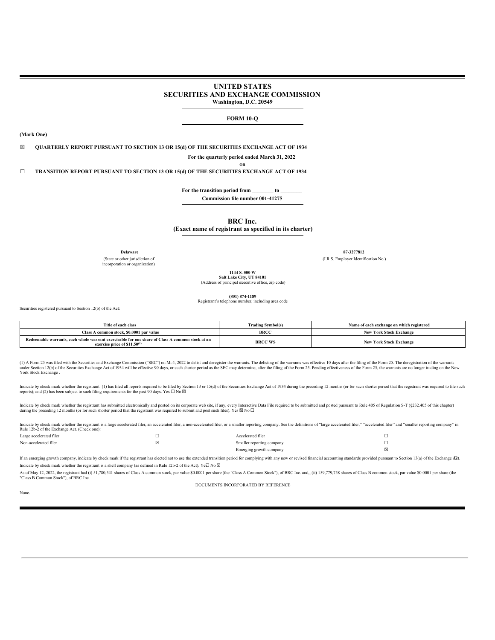### **UNITED STATES SECURITIES AND EXCHANGE COMMISSION Washington, D.C. 20549**

### **FORM 10-Q**

**(Mark One)**

☒ **QUARTERLY REPORT PURSUANT TO SECTION 13 OR 15(d) OF THE SECURITIES EXCHANGE ACT OF 1934**

**For the quarterly period ended March 31, 2022 OR**

☐ **TRANSITION REPORT PURSUANT TO SECTION 13 OR 15(d) OF THE SECURITIES EXCHANGE ACT OF 1934**

**For the transition period from \_\_\_\_\_\_\_\_ to \_\_\_\_\_\_\_\_ Commission file number 001-41275**

**BRC Inc.**

**(Exact name of registrant as specified in its charter)**

(State or other jurisdiction of incorporation or organization)

**Delaware 87-3277812** (I.R.S. Employer Identification No.)

> **1144 S. 500 W Salt Lake City, UT 84101**

(Address of principal executive office, zip code)

**(801) 874-1189**

Registrant's telephone number, including area code

Securities registered pursuant to Section 12(b) of the Act:

| Title of each class                                                                                                                  | <b>Trading Symbol(s)</b> | Name of each exchange on which registered |
|--------------------------------------------------------------------------------------------------------------------------------------|--------------------------|-------------------------------------------|
| Class A common stock, \$0,0001 par value                                                                                             | <b>BRCC</b>              | <b>New York Stock Exchange</b>            |
| Redeemable warrants, each whole warrant exercisable for one share of Class A common stock at an<br>exercise price of $$11.50^{(1)}$$ | <b>BRCC WS</b>           | <b>New York Stock Exchange</b>            |

(1) A Form 25 was filed with the Securities and Exchange Commission ("SEC") on Mt 4, 2022 to delist and deregister the warrants. The delisting of the warrants was effective 10 days after the filing of the Form 25. The dere York Stock Exchange .

Indicate by check mark whether the registrant: (1) has filed all reports required to be filed by Section 13 or 15(d) of the Securities Exchange Act of 1934 during the preceding 12 months (or for such shorter period that t

Indicate by check mark whether the registrant has submitted electronically and posted on its corporate web site, if any, every Interactive Data File required to be submitted and posted pursuant to Rule 405 of Regulation S

| Rule 12b-2 of the Exchange Act. (Check one): | Indicate by check mark whether the registrant is a large accelerated filer, an accelerated filer, an accelerated filer, a non-accelerated filer, or a smaller reporting company. See the definitions of "large accelerated fil |   |
|----------------------------------------------|--------------------------------------------------------------------------------------------------------------------------------------------------------------------------------------------------------------------------------|---|
| Large accelerated filer                      | Accelerated filer                                                                                                                                                                                                              |   |
| Non-accelerated filer                        | Smaller reporting company                                                                                                                                                                                                      |   |
|                                              | Emerging growth company                                                                                                                                                                                                        | ⊠ |

If an emerging growth company, indicate by check mark if the registrant has elected not to use the extended transition period for complying with any new or revised financial accounting standards provided pursuant to Sectio Indicate by check mark whether the registrant is a shell company (as defined in Rule 12b-2 of the Act). Ye $\Box$  No  $\Box$ 

As of May 12, 2022, the registrant had (i) 51,780,541 shares of Class A common stock, par value \$0.0001 per share (the "Class A Common Stock"), of BRC Inc. and,, (ii) 159,779,758 shares of Class B common stock, par value \$

DOCUMENTS INCORPORATED BY REFERENCE

None.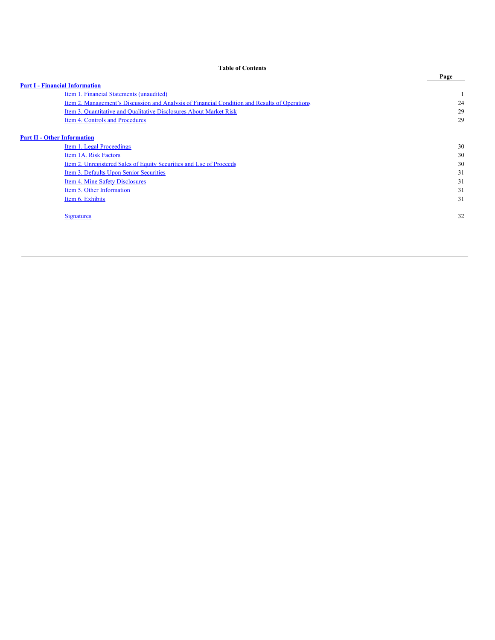<span id="page-2-0"></span>

|                                       |                                                                                               | Page |
|---------------------------------------|-----------------------------------------------------------------------------------------------|------|
| <b>Part I - Financial Information</b> |                                                                                               |      |
|                                       | Item 1. Financial Statements (unaudited)                                                      |      |
|                                       | Item 2. Management's Discussion and Analysis of Financial Condition and Results of Operations | 24   |
|                                       | Item 3. Quantitative and Qualitative Disclosures About Market Risk                            | 29   |
|                                       | Item 4. Controls and Procedures                                                               | 29   |
| <b>Part II - Other Information</b>    |                                                                                               |      |
|                                       | Item 1. Legal Proceedings                                                                     | 30   |
|                                       | Item 1A. Risk Factors                                                                         | 30   |
|                                       | Item 2. Unregistered Sales of Equity Securities and Use of Proceeds                           | 30   |
|                                       | Item 3. Defaults Upon Senior Securities                                                       | 31   |
|                                       | Item 4. Mine Safety Disclosures                                                               | 31   |
|                                       | Item 5. Other Information                                                                     | 31   |
|                                       | Item 6. Exhibits                                                                              | 31   |
|                                       | <b>Signatures</b>                                                                             | 32   |
|                                       |                                                                                               |      |

**Table of Contents**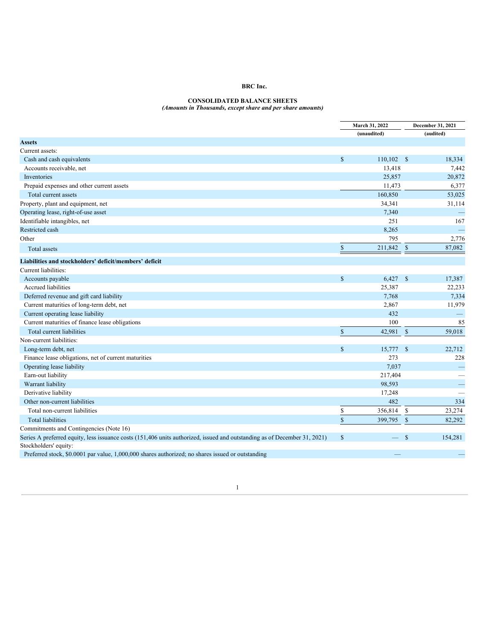#### **CONSOLIDATED BALANCE SHEETS** *(Amounts in Thousands, except share and per share amounts)*

<span id="page-3-0"></span>

|                                                                                                                           |              | March 31, 2022<br>(unaudited) |               | December 31, 2021        |
|---------------------------------------------------------------------------------------------------------------------------|--------------|-------------------------------|---------------|--------------------------|
|                                                                                                                           |              |                               |               | (audited)                |
| <b>Assets</b>                                                                                                             |              |                               |               |                          |
| Current assets:                                                                                                           |              |                               |               |                          |
| Cash and cash equivalents                                                                                                 | $\mathbb{S}$ | $110,102$ \$                  |               | 18,334                   |
| Accounts receivable, net                                                                                                  |              | 13,418                        |               | 7,442                    |
| Inventories                                                                                                               |              | 25,857                        |               | 20,872                   |
| Prepaid expenses and other current assets                                                                                 |              | 11,473                        |               | 6,377                    |
| Total current assets                                                                                                      |              | 160,850                       |               | 53,025                   |
| Property, plant and equipment, net                                                                                        |              | 34,341                        |               | 31,114                   |
| Operating lease, right-of-use asset                                                                                       |              | 7,340                         |               |                          |
| Identifiable intangibles, net                                                                                             |              | 251                           |               | 167                      |
| Restricted cash                                                                                                           |              | 8,265                         |               |                          |
| Other                                                                                                                     |              | 795                           |               | 2,776                    |
| <b>Total</b> assets                                                                                                       | $\mathbb{S}$ | 211,842                       | $\mathbb{S}$  | 87,082                   |
| Liabilities and stockholders' deficit/members' deficit                                                                    |              |                               |               |                          |
| Current liabilities:                                                                                                      |              |                               |               |                          |
| Accounts payable                                                                                                          | $\mathbf S$  | 6,427                         | $\mathbb{S}$  | 17,387                   |
| Accrued liabilities                                                                                                       |              | 25,387                        |               | 22,233                   |
| Deferred revenue and gift card liability                                                                                  |              | 7,768                         |               | 7,334                    |
| Current maturities of long-term debt, net                                                                                 |              | 2,867                         |               | 11,979                   |
| Current operating lease liability                                                                                         |              | 432                           |               | $\equiv$                 |
| Current maturities of finance lease obligations                                                                           |              | 100                           |               | 85                       |
| Total current liabilities                                                                                                 | $\mathbb{S}$ | 42,981                        | $\mathcal{S}$ | 59,018                   |
| Non-current liabilities:                                                                                                  |              |                               |               |                          |
| Long-term debt, net                                                                                                       | $\mathbf S$  | 15,777                        | - \$          | 22,712                   |
| Finance lease obligations, net of current maturities                                                                      |              | 273                           |               | 228                      |
| Operating lease liability                                                                                                 |              | 7,037                         |               | $\overline{\phantom{0}}$ |
| Earn-out liability                                                                                                        |              | 217,404                       |               |                          |
| Warrant liability                                                                                                         |              | 98,593                        |               | ÷,                       |
| Derivative liability                                                                                                      |              | 17,248                        |               |                          |
| Other non-current liabilities                                                                                             |              | 482                           |               | 334                      |
| Total non-current liabilities                                                                                             | \$           | 356,814                       | \$            | 23,274                   |
| <b>Total liabilities</b>                                                                                                  | $\mathbf S$  | 399,795                       | $\mathbf{s}$  | 82,292                   |
| Commitments and Contingencies (Note 16)                                                                                   |              |                               |               |                          |
| Series A preferred equity, less issuance costs (151,406 units authorized, issued and outstanding as of December 31, 2021) | $\mathbf S$  | $\equiv$                      | $\mathbf{s}$  | 154,281                  |
| Stockholders' equity:                                                                                                     |              |                               |               |                          |
| Preferred stock, \$0,0001 par value, 1,000,000 shares authorized; no shares issued or outstanding                         |              |                               |               |                          |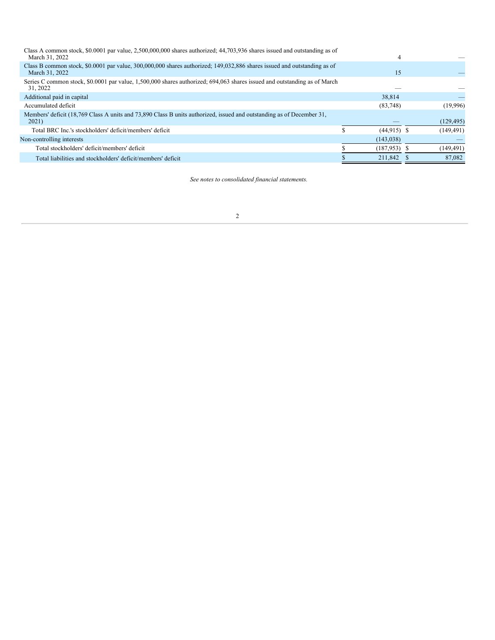| Class A common stock, \$0,0001 par value, 2,500,000,000 shares authorized; 44,703,936 shares issued and outstanding as of<br>March 31, 2022 |                 |            |
|---------------------------------------------------------------------------------------------------------------------------------------------|-----------------|------------|
| Class B common stock, \$0,0001 par value, 300,000,000 shares authorized; 149,032,886 shares issued and outstanding as of<br>March 31, 2022  | 15              |            |
| Series C common stock, \$0.0001 par value, 1,500,000 shares authorized; 694,063 shares issued and outstanding as of March<br>31, 2022       |                 |            |
| Additional paid in capital                                                                                                                  | 38.814          |            |
| Accumulated deficit                                                                                                                         | (83,748)        | (19,996)   |
| Members' deficit (18,769 Class A units and 73,890 Class B units authorized, issued and outstanding as of December 31,<br>2021)              |                 | (129, 495) |
| Total BRC Inc.'s stockholders' deficit/members' deficit                                                                                     | $(44, 915)$ \$  | (149, 491) |
| Non-controlling interests                                                                                                                   | (143, 038)      |            |
| Total stockholders' deficit/members' deficit                                                                                                | $(187, 953)$ \$ | (149, 491) |
| Total liabilities and stockholders' deficit/members' deficit                                                                                | 211,842 \$      | 87,082     |

*See notes to consolidated financial statements.*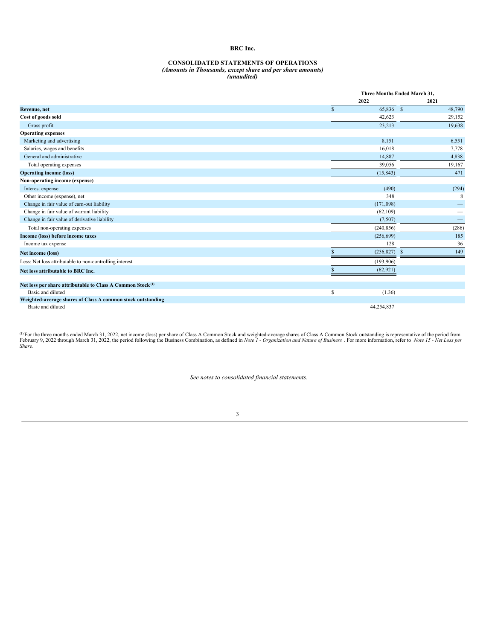#### **CONSOLIDATED STATEMENTS OF OPERATIONS** *(Amounts in Thousands, except share and per share amounts) (unaudited)*

|                                                                        |              | Three Months Ended March 31, |        |  |  |
|------------------------------------------------------------------------|--------------|------------------------------|--------|--|--|
|                                                                        | 2022         |                              | 2021   |  |  |
| Revenue, net                                                           | $\mathbf{s}$ | 65,836 \$                    | 48,790 |  |  |
| Cost of goods sold                                                     |              | 42,623                       | 29,152 |  |  |
| Gross profit                                                           |              | 23,213                       | 19,638 |  |  |
| <b>Operating expenses</b>                                              |              |                              |        |  |  |
| Marketing and advertising                                              |              | 8,151                        | 6,551  |  |  |
| Salaries, wages and benefits                                           |              | 16,018                       | 7,778  |  |  |
| General and administrative                                             |              | 14,887                       | 4,838  |  |  |
| Total operating expenses                                               |              | 39,056                       | 19,167 |  |  |
| <b>Operating income (loss)</b>                                         | (15, 843)    |                              | 471    |  |  |
| Non-operating income (expense)                                         |              |                              |        |  |  |
| Interest expense                                                       |              | (490)                        | (294)  |  |  |
| Other income (expense), net                                            |              | 348                          | 8      |  |  |
| Change in fair value of earn-out liability                             | (171,098)    |                              |        |  |  |
| Change in fair value of warrant liability                              | (62, 109)    |                              |        |  |  |
| Change in fair value of derivative liability                           |              | (7,507)                      |        |  |  |
| Total non-operating expenses                                           | (240, 856)   |                              | (286)  |  |  |
| Income (loss) before income taxes                                      | (256, 699)   |                              | 185    |  |  |
| Income tax expense                                                     |              | 128                          | 36     |  |  |
| Net income (loss)                                                      |              | (256, 827)<br>-S             | 149    |  |  |
| Less: Net loss attributable to non-controlling interest                | (193,906)    |                              |        |  |  |
| Net loss attributable to BRC Inc.                                      | (62, 921)    |                              |        |  |  |
| Net loss per share attributable to Class A Common Stock <sup>(1)</sup> |              |                              |        |  |  |
| Basic and diluted                                                      | \$           | (1.36)                       |        |  |  |
| Weighted-average shares of Class A common stock outstanding            |              |                              |        |  |  |
| Basic and diluted                                                      | 44,254,837   |                              |        |  |  |

(i) For the three months ended March 31, 2022, net income (loss) per share of Class A Common Stock and weighted-average shares of Class A Common Stock outstanding is representative of the period from February 9, 2022 throu *Share*.

*See notes to consolidated financial statements.*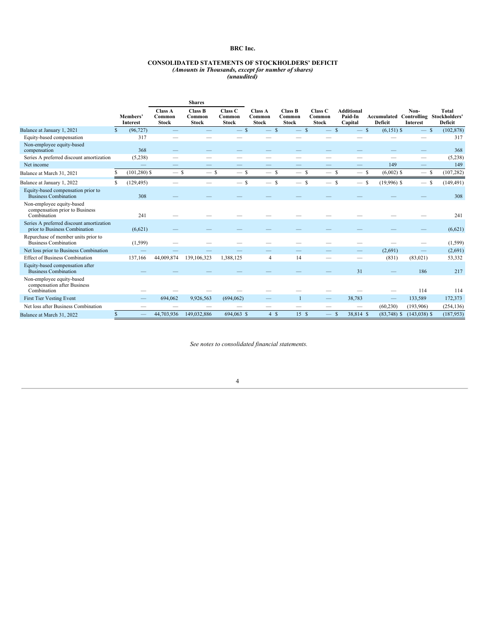### **CONSOLIDATED STATEMENTS OF STOCKHOLDERS' DEFICIT** *(Amounts in Thousands, except for number of shares)*

*(unaudited)*

|                                                                            |               |                             |                                          | <b>Shares</b>                            |                                   |                                   |                                          |                                              |                                         |                                                  |                  |                                |
|----------------------------------------------------------------------------|---------------|-----------------------------|------------------------------------------|------------------------------------------|-----------------------------------|-----------------------------------|------------------------------------------|----------------------------------------------|-----------------------------------------|--------------------------------------------------|------------------|--------------------------------|
|                                                                            |               | Members'<br><b>Interest</b> | <b>Class A</b><br>Common<br><b>Stock</b> | <b>Class B</b><br>Common<br><b>Stock</b> | Class C<br>Common<br><b>Stock</b> | Class A<br>Common<br><b>Stock</b> | <b>Class B</b><br>Common<br><b>Stock</b> | Class <sub>C</sub><br>Common<br><b>Stock</b> | <b>Additional</b><br>Paid-In<br>Capital | Accumulated Controlling Stockholders'<br>Deficit | Non-<br>Interest | <b>Total</b><br><b>Deficit</b> |
| Balance at January 1, 2021                                                 | <sup>\$</sup> | (96, 727)                   |                                          |                                          | $-$ \$                            |                                   | $\mathcal{S}$                            | $\mathcal{S}$                                | $\mathcal{S}$<br>$-$ \$                 | $(6,151)$ \$                                     | $-$ \$           | (102, 878)                     |
| Equity-based compensation                                                  |               | 317                         |                                          |                                          |                                   |                                   |                                          |                                              |                                         |                                                  |                  | 317                            |
| Non-employee equity-based<br>compensation                                  |               | 368                         |                                          |                                          |                                   |                                   |                                          |                                              |                                         |                                                  |                  | 368                            |
| Series A preferred discount amortization                                   |               | (5,238)                     |                                          |                                          |                                   |                                   |                                          |                                              |                                         |                                                  |                  | (5,238)                        |
| Net income                                                                 |               |                             |                                          |                                          |                                   |                                   |                                          |                                              |                                         | 149                                              |                  | 149                            |
| Balance at March 31, 2021                                                  |               | $(101, 280)$ \$             | $-$ \$                                   | $-$ \$                                   | $-$ \$                            | $-$ \$                            | $-$ s                                    | $-$ \$                                       | $-$ \$                                  | $(6,002)$ \$                                     | $-$ \$           | (107, 282)                     |
| Balance at January 1, 2022                                                 | S             | (129, 495)                  |                                          |                                          | $-$ s                             | $\overline{\phantom{a}}$          | -S                                       | <sup>\$</sup>                                | <sup>\$</sup><br>$-s$                   | $(19,996)$ \$                                    | $-$ \$           | (149, 491)                     |
| Equity-based compensation prior to<br><b>Business Combination</b>          |               | 308                         |                                          |                                          |                                   |                                   |                                          |                                              |                                         |                                                  |                  | 308                            |
| Non-employee equity-based<br>compensation prior to Business<br>Combination |               | 241                         |                                          |                                          |                                   |                                   |                                          |                                              |                                         |                                                  |                  | 241                            |
| Series A preferred discount amortization<br>prior to Business Combination  |               | (6,621)                     |                                          |                                          |                                   |                                   |                                          |                                              |                                         |                                                  |                  | (6,621)                        |
| Repurchase of member units prior to<br><b>Business Combination</b>         |               | (1, 599)                    |                                          |                                          |                                   |                                   |                                          |                                              |                                         |                                                  |                  | (1, 599)                       |
| Net loss prior to Business Combination                                     |               |                             |                                          |                                          |                                   |                                   |                                          |                                              |                                         | (2,691)                                          |                  | (2,691)                        |
| <b>Effect of Business Combination</b>                                      |               | 137,166                     | 44,009,874                               | 139,106,323                              | 1,388,125                         | 4                                 | 14                                       |                                              |                                         | (831)                                            | (83,021)         | 53,332                         |
| Equity-based compensation after<br><b>Business Combination</b>             |               |                             |                                          |                                          |                                   |                                   |                                          |                                              | 31                                      |                                                  | 186              | 217                            |
| Non-employee equity-based<br>compensation after Business<br>Combination    |               |                             |                                          |                                          |                                   |                                   |                                          |                                              |                                         |                                                  | 114              | 114                            |
| <b>First Tier Vesting Event</b>                                            |               |                             | 694,062                                  | 9,926,563                                | (694, 062)                        |                                   |                                          |                                              | 38,783                                  |                                                  | 133,589          | 172,373                        |
| Net loss after Business Combination                                        |               |                             |                                          |                                          |                                   |                                   |                                          |                                              |                                         | (60, 230)                                        | (193,906)        | (254, 136)                     |
| Balance at March 31, 2022                                                  | $\mathbb{S}$  |                             | 44,703,936                               | 149,032,886                              | 694,063 \$                        | 4S                                | 15S                                      | $-$ \$                                       | 38,814 \$                               | $(83,748)$ \$                                    | $(143,038)$ \$   | (187,953)                      |

*See notes to consolidated financial statements.*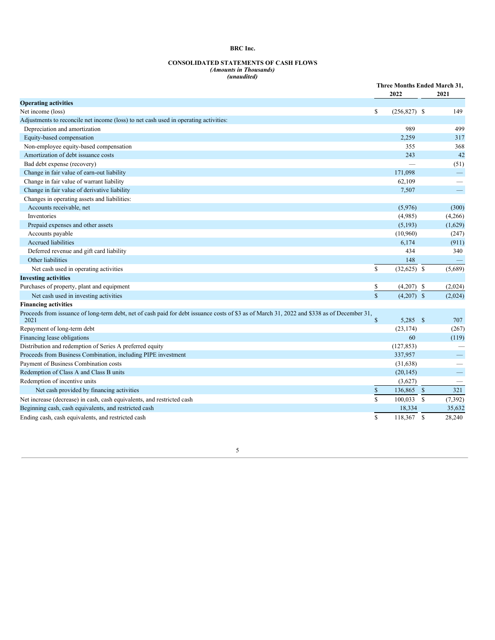#### **CONSOLIDATED STATEMENTS OF CASH FLOWS** *(Amounts in Thousands) (unaudited)*

|                                                                                                                                                     |              | 2022                    | Three Months Ended March 31,<br>2021 |  |  |
|-----------------------------------------------------------------------------------------------------------------------------------------------------|--------------|-------------------------|--------------------------------------|--|--|
| <b>Operating activities</b>                                                                                                                         |              |                         |                                      |  |  |
| Net income (loss)                                                                                                                                   | \$           | $(256,827)$ \$          | 149                                  |  |  |
| Adjustments to reconcile net income (loss) to net cash used in operating activities:                                                                |              |                         |                                      |  |  |
| Depreciation and amortization                                                                                                                       |              | 989                     | 499                                  |  |  |
| Equity-based compensation                                                                                                                           |              | 2,259                   | 317                                  |  |  |
| Non-employee equity-based compensation                                                                                                              |              | 355                     | 368                                  |  |  |
| Amortization of debt issuance costs                                                                                                                 |              | 243                     | 42                                   |  |  |
| Bad debt expense (recovery)                                                                                                                         |              |                         | (51)                                 |  |  |
| Change in fair value of earn-out liability                                                                                                          |              | 171.098                 |                                      |  |  |
| Change in fair value of warrant liability                                                                                                           |              | 62,109                  |                                      |  |  |
| Change in fair value of derivative liability                                                                                                        |              | 7,507                   |                                      |  |  |
| Changes in operating assets and liabilities:                                                                                                        |              |                         |                                      |  |  |
| Accounts receivable, net                                                                                                                            |              | (5,976)                 | (300)                                |  |  |
| Inventories                                                                                                                                         |              | (4,985)                 | (4,266)                              |  |  |
| Prepaid expenses and other assets                                                                                                                   |              | (5,193)                 | (1,629)                              |  |  |
| Accounts payable                                                                                                                                    |              | (10,960)                | (247)                                |  |  |
| <b>Accrued liabilities</b>                                                                                                                          |              | 6,174                   | (911)                                |  |  |
| Deferred revenue and gift card liability                                                                                                            |              | 434                     | 340                                  |  |  |
| Other liabilities                                                                                                                                   |              | 148                     |                                      |  |  |
| Net cash used in operating activities                                                                                                               | \$           | $(32,625)$ \$           | (5,689)                              |  |  |
| <b>Investing activities</b>                                                                                                                         |              |                         |                                      |  |  |
| Purchases of property, plant and equipment                                                                                                          | \$           | (4,207)<br>-S           | (2,024)                              |  |  |
| Net cash used in investing activities                                                                                                               | $\mathbf S$  | $(4,207)$ \$            | (2,024)                              |  |  |
| <b>Financing activities</b>                                                                                                                         |              |                         |                                      |  |  |
| Proceeds from issuance of long-term debt, net of cash paid for debt issuance costs of \$3 as of March 31, 2022 and \$338 as of December 31,<br>2021 | $\mathbb{S}$ | 5,285 \$                | 707                                  |  |  |
| Repayment of long-term debt                                                                                                                         |              | (23, 174)               | (267)                                |  |  |
| Financing lease obligations                                                                                                                         |              | 60                      | (119)                                |  |  |
| Distribution and redemption of Series A preferred equity                                                                                            |              | (127, 853)              |                                      |  |  |
| Proceeds from Business Combination, including PIPE investment                                                                                       |              | 337,957                 |                                      |  |  |
| Payment of Business Combination costs                                                                                                               |              | (31, 638)               | $\qquad \qquad$                      |  |  |
| Redemption of Class A and Class B units                                                                                                             |              | (20, 145)               | $\equiv$                             |  |  |
| Redemption of incentive units                                                                                                                       |              | (3,627)                 |                                      |  |  |
| Net cash provided by financing activities                                                                                                           | $\mathbb S$  | $\mathbb{S}$<br>136,865 | 321                                  |  |  |
| Net increase (decrease) in cash, cash equivalents, and restricted cash                                                                              | $\mathbf S$  | 100,033<br>$\mathbb{S}$ | (7, 392)                             |  |  |
| Beginning cash, cash equivalents, and restricted cash                                                                                               |              | 18,334                  | 35,632                               |  |  |
| Ending cash, cash equivalents, and restricted cash                                                                                                  | \$           | 118,367<br>$\mathbf S$  | 28,240                               |  |  |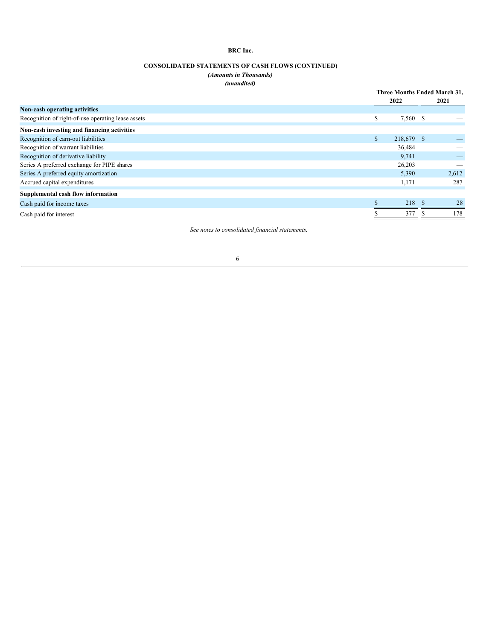# **CONSOLIDATED STATEMENTS OF CASH FLOWS (CONTINUED)**

# *(Amounts in Thousands) (unaudited)*

|                                                    |              | Three Months Ended March 31, |    |       |  |
|----------------------------------------------------|--------------|------------------------------|----|-------|--|
|                                                    |              | 2022                         |    | 2021  |  |
| Non-cash operating activities                      |              |                              |    |       |  |
| Recognition of right-of-use operating lease assets | S            | 7,560 \$                     |    |       |  |
| Non-cash investing and financing activities        |              |                              |    |       |  |
| Recognition of earn-out liabilities                | $\mathbf{s}$ | 218,679 \$                   |    |       |  |
| Recognition of warrant liabilities                 |              | 36,484                       |    |       |  |
| Recognition of derivative liability                |              | 9,741                        |    |       |  |
| Series A preferred exchange for PIPE shares        |              | 26,203                       |    |       |  |
| Series A preferred equity amortization             |              | 5,390                        |    | 2,612 |  |
| Accrued capital expenditures                       |              | 1,171                        |    | 287   |  |
| Supplemental cash flow information                 |              |                              |    |       |  |
| Cash paid for income taxes                         |              | 218                          | -S | 28    |  |
| Cash paid for interest                             |              | 377                          |    | 178   |  |
|                                                    |              |                              |    |       |  |

*See notes to consolidated financial statements.*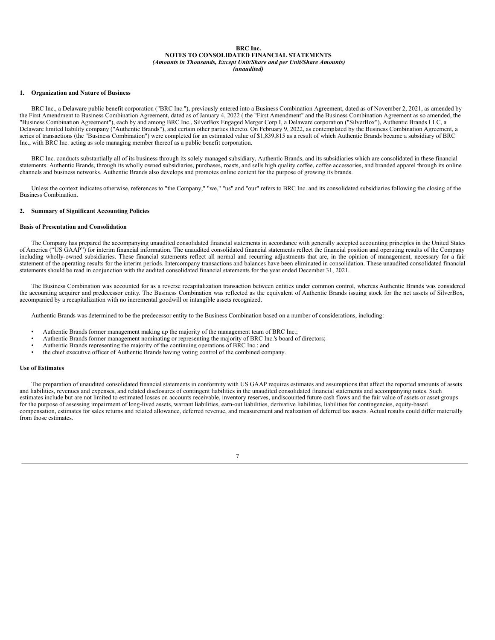#### **BRC Inc. NOTES TO CONSOLIDATED FINANCIAL STATEMENTS** *(Amounts in Thousands, Except Unit/Share and per Unit/Share Amounts) (unaudited)*

#### **1. Organization and Nature of Business**

BRC Inc., a Delaware public benefit corporation ("BRC Inc."), previously entered into a Business Combination Agreement, dated as of November 2, 2021, as amended by the First Amendment to Business Combination Agreement, dated as of January 4, 2022 ( the "First Amendment" and the Business Combination Agreement as so amended, the "Business Combination Agreement"), each by and among BRC Inc., SilverBox Engaged Merger Corp I, a Delaware corporation ("SilverBox"), Authentic Brands LLC, a Delaware limited liability company ("Authentic Brands"), and certain other parties thereto. On February 9, 2022, as contemplated by the Business Combination Agreement, a series of transactions (the "Business Combination") were completed for an estimated value of \$1,839,815 as a result of which Authentic Brands became a subsidiary of BRC Inc., with BRC Inc. acting as sole managing member thereof as a public benefit corporation.

BRC Inc. conducts substantially all of its business through its solely managed subsidiary, Authentic Brands, and its subsidiaries which are consolidated in these financial statements. Authentic Brands, through its wholly owned subsidiaries, purchases, roasts, and sells high quality coffee, coffee accessories, and branded apparel through its online channels and business networks. Authentic Brands also develops and promotes online content for the purpose of growing its brands.

Unless the context indicates otherwise, references to "the Company," "we," "us" and "our" refers to BRC Inc. and its consolidated subsidiaries following the closing of the Business Combination.

### **2. Summary of Significant Accounting Policies**

### **Basis of Presentation and Consolidation**

The Company has prepared the accompanying unaudited consolidated financial statements in accordance with generally accepted accounting principles in the United States of America ("US GAAP") for interim financial information. The unaudited consolidated financial statements reflect the financial position and operating results of the Company including wholly-owned subsidiaries. These financial statements reflect all normal and recurring adjustments that are, in the opinion of management, necessary for a fair statement of the operating results for the interim periods. Intercompany transactions and balances have been eliminated in consolidation. These unaudited consolidated financial statements should be read in conjunction with the audited consolidated financial statements for the year ended December 31, 2021.

The Business Combination was accounted for as a reverse recapitalization transaction between entities under common control, whereas Authentic Brands was considered the accounting acquirer and predecessor entity. The Business Combination was reflected as the equivalent of Authentic Brands issuing stock for the net assets of SilverBox, accompanied by a recapitalization with no incremental goodwill or intangible assets recognized.

Authentic Brands was determined to be the predecessor entity to the Business Combination based on a number of considerations, including:

- Authentic Brands former management making up the majority of the management team of BRC Inc.;
- Authentic Brands former management nominating or representing the majority of BRC Inc.'s board of directors;
- Authentic Brands representing the majority of the continuing operations of BRC Inc.; and
- the chief executive officer of Authentic Brands having voting control of the combined company.

#### **Use of Estimates**

The preparation of unaudited consolidated financial statements in conformity with US GAAP requires estimates and assumptions that affect the reported amounts of assets and liabilities, revenues and expenses, and related disclosures of contingent liabilities in the unaudited consolidated financial statements and accompanying notes. Such estimates include but are not limited to estimated losses on accounts receivable, inventory reserves, undiscounted future cash flows and the fair value of assets or asset groups for the purpose of assessing impairment of long-lived assets, warrant liabilities, earn-out liabilities, derivative liabilities, liabilities for contingencies, equity-based compensation, estimates for sales returns and related allowance, deferred revenue, and measurement and realization of deferred tax assets. Actual results could differ materially from those estimates.

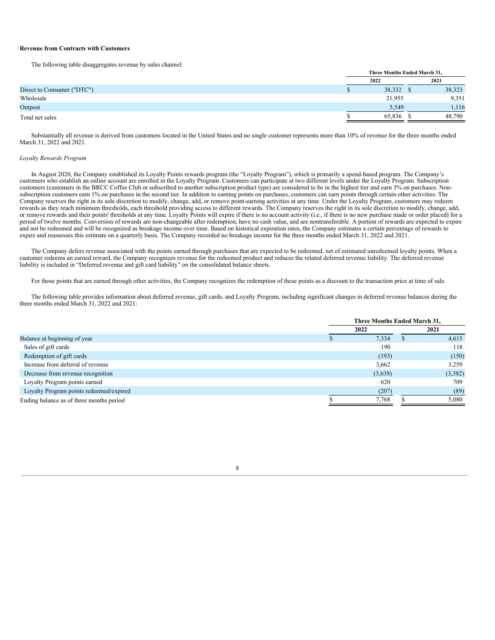#### **Revenue from Contracts with Customers**

The following table disaggregates revenue by sales channel:

|                            | Three Months Ended March 31, |        |  |  |  |
|----------------------------|------------------------------|--------|--|--|--|
|                            | 2022                         | 2021   |  |  |  |
| Direct to Consumer ("DTC") | 38,332                       | 38,323 |  |  |  |
| Wholesale                  | 21,955                       | 9,351  |  |  |  |
| Outpost                    | 5,549                        | 1,116  |  |  |  |
| Total net sales            | 65,836                       | 48,790 |  |  |  |

Substantially all revenue is derived from customers located in the United States and no single customer represents more than 10% of revenue for the three months ended March 31, 2022 and 2021.

### *Loyalty Rewards Program*

In August 2020, the Company established its Loyalty Points rewards program (the "Loyalty Program"), which is primarily a spend-based program. The Company's customers who establish an online account are enrolled in the Loyalty Program. Customers can participate at two different levels under the Loyalty Program. Subscription customers (customers in the BRCC Coffee Club or subscribed to another subscription product type) are considered to be in the highest tier and earn 3% on purchases. Nonsubscription customers earn 1% on purchases in the second tier. In addition to earning points on purchases, customers can earn points through certain other activities. The Company reserves the right in its sole discretion to modify, change, add, or remove point-earning activities at any time. Under the Loyalty Program, customers may redeem rewards as they reach minimum thresholds, each threshold providing access to different rewards. The Company reserves the right in its sole discretion to modify, change, add, or remove rewards and their points' thresholds at any time. Loyalty Points will expire if there is no account activity (i.e., if there is no new purchase made or order placed) for a period of twelve months. Conversion of rewards are non-changeable after redemption, have no cash value, and are nontransferable. A portion of rewards are expected to expire and not be redeemed and will be recognized as breakage income over time. Based on historical expiration rates, the Company estimates a certain percentage of rewards to expire and reassesses this estimate on a quarterly basis. The Company recorded no breakage income for the three months ended March 31, 2022 and 2021.

The Company defers revenue associated with the points earned through purchases that are expected to be redeemed, net of estimated unredeemed loyalty points. When a customer redeems an earned reward, the Company recognizes revenue for the redeemed product and reduces the related deferred revenue liability. The deferred revenue liability is included in "Deferred revenue and gift card liability" on the consolidated balance sheets.

For those points that are earned through other activities, the Company recognizes the redemption of these points as a discount to the transaction price at time of sale.

The following table provides information about deferred revenue, gift cards, and Loyalty Program, including significant changes in deferred revenue balances during the three months ended March 31, 2022 and 2021:

|                                          | Three Months Ended March 31, |         |  |         |  |
|------------------------------------------|------------------------------|---------|--|---------|--|
|                                          |                              | 2022    |  | 2021    |  |
| Balance at beginning of year             |                              | 7,334   |  | 4,615   |  |
| Sales of gift cards                      |                              | 190     |  | 118     |  |
| Redemption of gift cards                 |                              | (193)   |  | (150)   |  |
| Increase from deferral of revenue        |                              | 3,662   |  | 3,259   |  |
| Decrease from revenue recognition        |                              | (3,638) |  | (3,382) |  |
| Loyalty Program points earned            |                              | 620     |  | 709     |  |
| Loyalty Program points redeemed/expired  |                              | (207)   |  | (89)    |  |
| Ending balance as of three months period |                              | 7,768   |  | 5.080   |  |

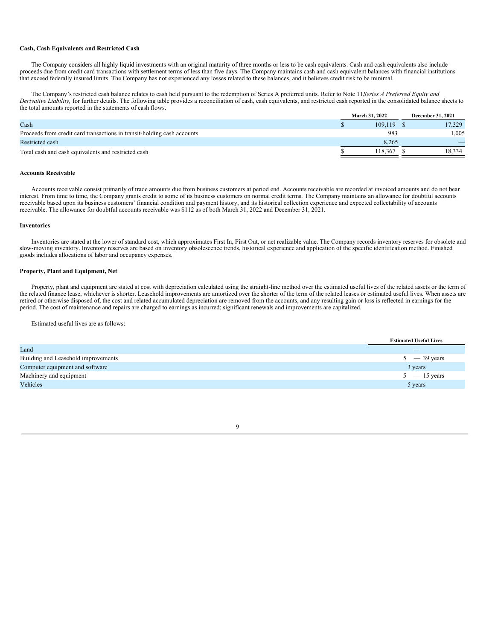### **Cash, Cash Equivalents and Restricted Cash**

The Company considers all highly liquid investments with an original maturity of three months or less to be cash equivalents. Cash and cash equivalents also include proceeds due from credit card transactions with settlement terms of less than five days. The Company maintains cash and cash equivalent balances with financial institutions that exceed federally insured limits. The Company has not experienced any losses related to these balances, and it believes credit risk to be minimal.

The Company's restricted cash balance relates to cash held pursuant to the redemption of Series A preferred units. Refer to Note 11,*Series A Preferred Equity and Derivative Liability,* for further details. The following table provides a reconciliation of cash, cash equivalents, and restricted cash reported in the consolidated balance sheets to the total amounts reported in the statements of cash flows.

|                                                                         | March 31, 2022 |         |  | <b>December 31, 2021</b> |
|-------------------------------------------------------------------------|----------------|---------|--|--------------------------|
| Cash                                                                    |                | 109.119 |  | 17.329                   |
| Proceeds from credit card transactions in transit-holding cash accounts |                | 983     |  | 1.005                    |
| Restricted cash                                                         |                | 8.265   |  |                          |
| Total cash and cash equivalents and restricted cash                     |                | 118.367 |  | 18.334                   |

#### **Accounts Receivable**

Accounts receivable consist primarily of trade amounts due from business customers at period end. Accounts receivable are recorded at invoiced amounts and do not bear interest. From time to time, the Company grants credit to some of its business customers on normal credit terms. The Company maintains an allowance for doubtful accounts receivable based upon its business customers' financial condition and payment history, and its historical collection experience and expected collectability of accounts receivable. The allowance for doubtful accounts receivable was \$112 as of both March 31, 2022 and December 31, 2021.

#### **Inventories**

Inventories are stated at the lower of standard cost, which approximates First In, First Out, or net realizable value. The Company records inventory reserves for obsolete and slow-moving inventory. Inventory reserves are based on inventory obsolescence trends, historical experience and application of the specific identification method. Finished goods includes allocations of labor and occupancy expenses.

### **Property, Plant and Equipment, Net**

Property, plant and equipment are stated at cost with depreciation calculated using the straight-line method over the estimated useful lives of the related assets or the term of the related finance lease, whichever is shorter. Leasehold improvements are amortized over the shorter of the term of the related leases or estimated useful lives. When assets are retired or otherwise disposed of, the cost and related accumulated depreciation are removed from the accounts, and any resulting gain or loss is reflected in earnings for the period. The cost of maintenance and repairs are charged to earnings as incurred; significant renewals and improvements are capitalized.

Estimated useful lives are as follows:

|                                     | <b>Estimated Useful Lives</b> |
|-------------------------------------|-------------------------------|
| Land                                | $\overline{\phantom{a}}$      |
| Building and Leasehold improvements | $5 - 39$ years                |
| Computer equipment and software     | 3 years                       |
| Machinery and equipment             | $5 - 15$ years                |
| Vehicles                            | 5 years                       |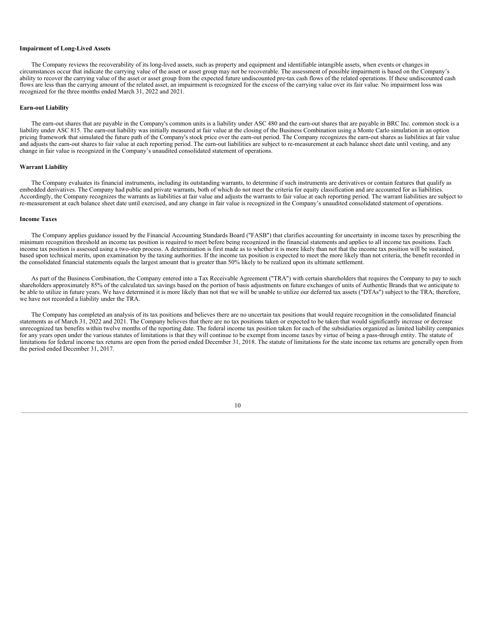### **Impairment of Long-Lived Assets**

The Company reviews the recoverability of its long-lived assets, such as property and equipment and identifiable intangible assets, when events or changes in circumstances occur that indicate the carrying value of the asset or asset group may not be recoverable. The assessment of possible impairment is based on the Company's ability to recover the carrying value of the asset or asset group from the expected future undiscounted pre-tax cash flows of the related operations. If these undiscounted cash flows are less than the carrying amount of the related asset, an impairment is recognized for the excess of the carrying value over its fair value. No impairment loss was recognized for the three months ended March 31, 2022 and 2021.

#### **Earn-out Liability**

The earn-out shares that are payable in the Company's common units is a liability under ASC 480 and the earn-out shares that are payable in BRC Inc. common stock is a liability under ASC 815. The earn-out liability was initially measured at fair value at the closing of the Business Combination using a Monte Carlo simulation in an option pricing framework that simulated the future path of the Company's stock price over the earn-out period. The Company recognizes the earn-out shares as liabilities at fair value and adjusts the earn-out shares to fair value at each reporting period. The earn-out liabilities are subject to re-measurement at each balance sheet date until vesting, and any change in fair value is recognized in the Company's unaudited consolidated statement of operations.

#### **Warrant Liability**

The Company evaluates its financial instruments, including its outstanding warrants, to determine if such instruments are derivatives or contain features that qualify as embedded derivatives. The Company had public and private warrants, both of which do not meet the criteria for equity classification and are accounted for as liabilities. Accordingly, the Company recognizes the warrants as liabilities at fair value and adjusts the warrants to fair value at each reporting period. The warrant liabilities are subject to re-measurement at each balance sheet date until exercised, and any change in fair value is recognized in the Company's unaudited consolidated statement of operations.

#### **Income Taxes**

The Company applies guidance issued by the Financial Accounting Standards Board ("FASB") that clarifies accounting for uncertainty in income taxes by prescribing the minimum recognition threshold an income tax position is required to meet before being recognized in the financial statements and applies to all income tax positions. Each income tax position is assessed using a two-step process. A determination is first made as to whether it is more likely than not that the income tax position will be sustained, based upon technical merits, upon examination by the taxing authorities. If the income tax position is expected to meet the more likely than not criteria, the benefit recorded in the consolidated financial statements equals the largest amount that is greater than 50% likely to be realized upon its ultimate settlement.

As part of the Business Combination, the Company entered into a Tax Receivable Agreement ("TRA") with certain shareholders that requires the Company to pay to such shareholders approximately 85% of the calculated tax savings based on the portion of basis adjustments on future exchanges of units of Authentic Brands that we anticipate to be able to utilize in future years. We have determined it is more likely than not that we will be unable to utilize our deferred tax assets ("DTAs") subject to the TRA; therefore, we have not recorded a liability under the TRA.

The Company has completed an analysis of its tax positions and believes there are no uncertain tax positions that would require recognition in the consolidated financial statements as of March 31, 2022 and 2021. The Company believes that there are no tax positions taken or expected to be taken that would significantly increase or decrease unrecognized tax benefits within twelve months of the reporting date. The federal income tax position taken for each of the subsidiaries organized as limited liability companies for any years open under the various statutes of limitations is that they will continue to be exempt from income taxes by virtue of being a pass-through entity. The statute of limitations for federal income tax returns are open from the period ended December 31, 2018. The statute of limitations for the state income tax returns are generally open from the period ended December 31, 2017.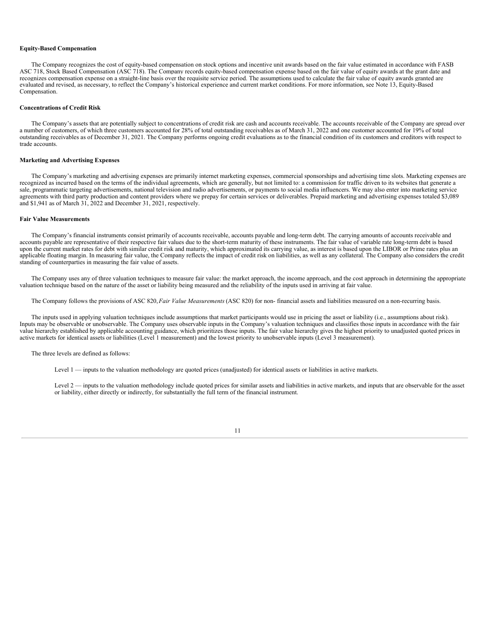#### **Equity-Based Compensation**

The Company recognizes the cost of equity-based compensation on stock options and incentive unit awards based on the fair value estimated in accordance with FASB ASC 718, Stock Based Compensation (ASC 718). The Company records equity-based compensation expense based on the fair value of equity awards at the grant date and recognizes compensation expense on a straight-line basis over the requisite service period. The assumptions used to calculate the fair value of equity awards granted are evaluated and revised, as necessary, to reflect the Company's historical experience and current market conditions. For more information, see Note 13, Equity-Based Compensation.

#### **Concentrations of Credit Risk**

The Company's assets that are potentially subject to concentrations of credit risk are cash and accounts receivable. The accounts receivable of the Company are spread over a number of customers, of which three customers accounted for 28% of total outstanding receivables as of March 31, 2022 and one customer accounted for 19% of total outstanding receivables as of December 31, 2021. The Company performs ongoing credit evaluations as to the financial condition of its customers and creditors with respect to trade accounts.

### **Marketing and Advertising Expenses**

The Company's marketing and advertising expenses are primarily internet marketing expenses, commercial sponsorships and advertising time slots. Marketing expenses are recognized as incurred based on the terms of the individual agreements, which are generally, but not limited to: a commission for traffic driven to its websites that generate a sale, programmatic targeting advertisements, national television and radio advertisements, or payments to social media influencers. We may also enter into marketing service agreements with third party production and content providers where we prepay for certain services or deliverables. Prepaid marketing and advertising expenses totaled \$3,089 and \$1,941 as of March 31, 2022 and December 31, 2021, respectively.

#### **Fair Value Measurements**

The Company's financial instruments consist primarily of accounts receivable, accounts payable and long-term debt. The carrying amounts of accounts receivable and accounts payable are representative of their respective fair values due to the short-term maturity of these instruments. The fair value of variable rate long-term debt is based upon the current market rates for debt with similar credit risk and maturity, which approximated its carrying value, as interest is based upon the LIBOR or Prime rates plus an applicable floating margin. In measuring fair value, the Company reflects the impact of credit risk on liabilities, as well as any collateral. The Company also considers the credit standing of counterparties in measuring the fair value of assets.

The Company uses any of three valuation techniques to measure fair value: the market approach, the income approach, and the cost approach in determining the appropriate valuation technique based on the nature of the asset or liability being measured and the reliability of the inputs used in arriving at fair value.

The Company follows the provisions of ASC 820,*Fair Value Measurements* (ASC 820) for non- financial assets and liabilities measured on a non-recurring basis.

The inputs used in applying valuation techniques include assumptions that market participants would use in pricing the asset or liability (i.e., assumptions about risk). Inputs may be observable or unobservable. The Company uses observable inputs in the Company's valuation techniques and classifies those inputs in accordance with the fair value hierarchy established by applicable accounting guidance, which prioritizes those inputs. The fair value hierarchy gives the highest priority to unadjusted quoted prices in active markets for identical assets or liabilities (Level 1 measurement) and the lowest priority to unobservable inputs (Level 3 measurement).

#### The three levels are defined as follows:

Level 1 — inputs to the valuation methodology are quoted prices (unadjusted) for identical assets or liabilities in active markets.

Level 2 — inputs to the valuation methodology include quoted prices for similar assets and liabilities in active markets, and inputs that are observable for the asset or liability, either directly or indirectly, for substantially the full term of the financial instrument.

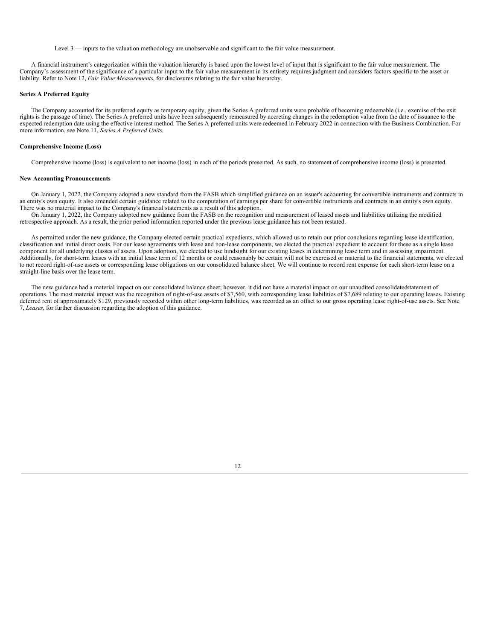Level 3 — inputs to the valuation methodology are unobservable and significant to the fair value measurement.

A financial instrument's categorization within the valuation hierarchy is based upon the lowest level of input that is significant to the fair value measurement. The Company's assessment of the significance of a particular input to the fair value measurement in its entirety requires judgment and considers factors specific to the asset or liability. Refer to Note 12, *Fair Value Measurements*, for disclosures relating to the fair value hierarchy.

### **Series A Preferred Equity**

The Company accounted for its preferred equity as temporary equity, given the Series A preferred units were probable of becoming redeemable (i.e., exercise of the exit rights is the passage of time). The Series A preferred units have been subsequently remeasured by accreting changes in the redemption value from the date of issuance to the expected redemption date using the effective interest method. The Series A preferred units were redeemed in February 2022 in connection with the Business Combination. For more information, see Note 11, *Series A Preferred Units*.

#### **Comprehensive Income (Loss)**

Comprehensive income (loss) is equivalent to net income (loss) in each of the periods presented. As such, no statement of comprehensive income (loss) is presented.

#### **New Accounting Pronouncements**

On January 1, 2022, the Company adopted a new standard from the FASB which simplified guidance on an issuer's accounting for convertible instruments and contracts in an entity's own equity. It also amended certain guidance related to the computation of earnings per share for convertible instruments and contracts in an entity's own equity. There was no material impact to the Company's financial statements as a result of this adoption.

On January 1, 2022, the Company adopted new guidance from the FASB on the recognition and measurement of leased assets and liabilities utilizing the modified retrospective approach. As a result, the prior period information reported under the previous lease guidance has not been restated.

As permitted under the new guidance, the Company elected certain practical expedients, which allowed us to retain our prior conclusions regarding lease identification, classification and initial direct costs. For our lease agreements with lease and non-lease components, we elected the practical expedient to account for these as a single lease component for all underlying classes of assets. Upon adoption, we elected to use hindsight for our existing leases in determining lease term and in assessing impairment. Additionally, for short-term leases with an initial lease term of 12 months or could reasonably be certain will not be exercised or material to the financial statements, we elected to not record right-of-use assets or corresponding lease obligations on our consolidated balance sheet. We will continue to record rent expense for each short-term lease on a straight-line basis over the lease term.

The new guidance had a material impact on our consolidated balance sheet; however, it did not have a material impact on our unaudited consolidatedstatement of operations. The most material impact was the recognition of right-of-use assets of \$7,560, with corresponding lease liabilities of \$7,689 relating to our operating leases. Existing deferred rent of approximately \$129, previously recorded within other long-term liabilities, was recorded as an offset to our gross operating lease right-of-use assets. See Note 7, *Leases*, for further discussion regarding the adoption of this guidance.

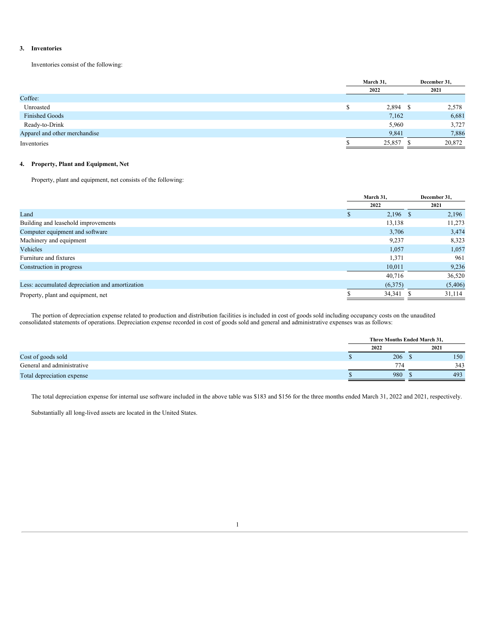### **3. Inventories**

Inventories consist of the following:

|                               | March 31, |  | December 31, |
|-------------------------------|-----------|--|--------------|
|                               | 2022      |  | 2021         |
| Coffee:                       |           |  |              |
| Unroasted                     | 2,894     |  | 2,578        |
| <b>Finished Goods</b>         | 7,162     |  | 6,681        |
| Ready-to-Drink                | 5,960     |  | 3,727        |
| Apparel and other merchandise | 9,841     |  | 7,886        |
| Inventories                   | 25,857    |  | 20,872       |

# **4. Property, Plant and Equipment, Net**

Property, plant and equipment, net consists of the following:

|                                                 | March 31.  | December 31. |  |
|-------------------------------------------------|------------|--------------|--|
|                                                 | 2022       | 2021         |  |
| Land                                            | $2,196$ \$ | 2,196        |  |
| Building and leasehold improvements             | 13,138     | 11,273       |  |
| Computer equipment and software                 | 3,706      | 3,474        |  |
| Machinery and equipment                         | 9,237      | 8,323        |  |
| Vehicles                                        | 1,057      | 1,057        |  |
| Furniture and fixtures                          | 1,371      | 961          |  |
| Construction in progress                        | 10,011     | 9,236        |  |
|                                                 | 40,716     | 36,520       |  |
| Less: accumulated depreciation and amortization | (6,375)    | (5,406)      |  |
| Property, plant and equipment, net              | 34,341     | 31,114       |  |

The portion of depreciation expense related to production and distribution facilities is included in cost of goods sold including occupancy costs on the unaudited consolidated statements of operations. Depreciation expense recorded in cost of goods sold and general and administrative expenses was as follows:

|                            | Three Months Ended March 31, |                 |  |      |
|----------------------------|------------------------------|-----------------|--|------|
|                            |                              | 2022            |  | 2021 |
| Cost of goods sold         |                              | 206             |  | 150  |
| General and administrative |                              | 77 <sub>4</sub> |  | 343  |
| Total depreciation expense |                              | 980             |  | 493  |

The total depreciation expense for internal use software included in the above table was \$183 and \$156 for the three months ended March 31, 2022 and 2021, respectively.

Substantially all long-lived assets are located in the United States.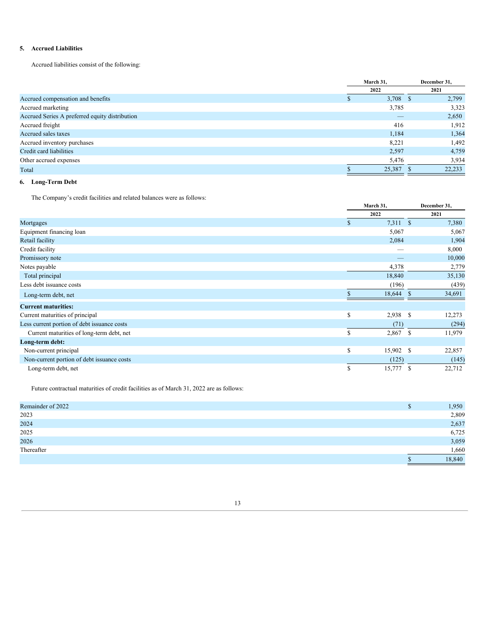# **5. Accrued Liabilities**

Accrued liabilities consist of the following:

|                                                | March 31. |  | December 31, |
|------------------------------------------------|-----------|--|--------------|
|                                                | 2022      |  | 2021         |
| Accrued compensation and benefits              | 3,708 \$  |  | 2,799        |
| Accrued marketing                              | 3,785     |  | 3,323        |
| Accrued Series A preferred equity distribution |           |  | 2,650        |
| Accrued freight                                | 416       |  | 1,912        |
| Accrued sales taxes                            | 1,184     |  | 1,364        |
| Accrued inventory purchases                    | 8.221     |  | 1,492        |
| Credit card liabilities                        | 2,597     |  | 4,759        |
| Other accrued expenses                         | 5,476     |  | 3,934        |
| Total                                          | 25,387    |  | 22,233       |

# **6. Long-Term Debt**

The Company's credit facilities and related balances were as follows:

|                                             |    | March 31, | December 31,            |  |
|---------------------------------------------|----|-----------|-------------------------|--|
|                                             |    | 2022      | 2021                    |  |
| Mortgages                                   | \$ | 7,311 \$  | 7,380                   |  |
| Equipment financing loan                    |    | 5,067     | 5,067                   |  |
| Retail facility                             |    | 2,084     | 1,904                   |  |
| Credit facility                             |    |           | 8,000                   |  |
| Promissory note                             |    |           | 10,000                  |  |
| Notes payable                               |    | 4,378     | 2,779                   |  |
| Total principal                             |    | 18,840    | 35,130                  |  |
| Less debt issuance costs                    |    | (196)     | (439)                   |  |
| Long-term debt, net                         |    | 18,644    | 34,691<br><sup>S</sup>  |  |
| <b>Current maturities:</b>                  |    |           |                         |  |
| Current maturities of principal             | \$ | 2,938     | <sup>\$</sup><br>12,273 |  |
| Less current portion of debt issuance costs |    | (71)      | (294)                   |  |
| Current maturities of long-term debt, net   | S  | 2,867     | 11,979<br><sup>\$</sup> |  |
| Long-term debt:                             |    |           |                         |  |
| Non-current principal                       | \$ | 15,902    | <sup>\$</sup><br>22,857 |  |
| Non-current portion of debt issuance costs  |    | (125)     | (145)                   |  |
| Long-term debt, net                         | S  | 15,777    | 22,712<br>S             |  |

Future contractual maturities of credit facilities as of March 31, 2022 are as follows:

| Remainder of 2022 | S | 1,950  |
|-------------------|---|--------|
| 2023              |   | 2,809  |
|                   |   |        |
| 2024              |   | 2,637  |
| 2025              |   | 6,725  |
| 2026              |   | 3,059  |
| Thereafter        |   | 1,660  |
|                   |   | 18,840 |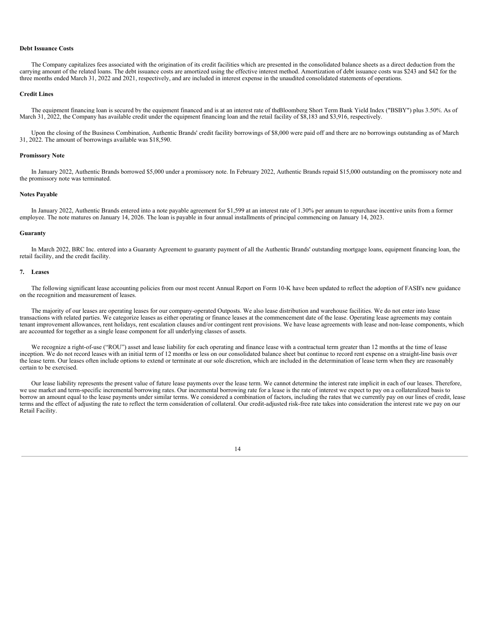#### **Debt Issuance Costs**

The Company capitalizes fees associated with the origination of its credit facilities which are presented in the consolidated balance sheets as a direct deduction from the carrying amount of the related loans. The debt issuance costs are amortized using the effective interest method. Amortization of debt issuance costs was \$243 and \$42 for the three months ended March 31, 2022 and 2021, respectively, and are included in interest expense in the unaudited consolidated statements of operations.

#### **Credit Lines**

The equipment financing loan is secured by the equipment financed and is at an interest rate of theBloomberg Short Term Bank Yield Index ("BSBY") plus 3.50%. As of March 31, 2022, the Company has available credit under the equipment financing loan and the retail facility of \$8,183 and \$3,916, respectively.

Upon the closing of the Business Combination, Authentic Brands' credit facility borrowings of \$8,000 were paid off and there are no borrowings outstanding as of March 31, 2022. The amount of borrowings available was \$18,590.

#### **Promissory Note**

In January 2022, Authentic Brands borrowed \$5,000 under a promissory note. In February 2022, Authentic Brands repaid \$15,000 outstanding on the promissory note and the promissory note was terminated.

#### **Notes Payable**

In January 2022, Authentic Brands entered into a note payable agreement for \$1,599 at an interest rate of 1.30% per annum to repurchase incentive units from a former employee. The note matures on January 14, 2026. The loan is payable in four annual installments of principal commencing on January 14, 2023.

#### **Guaranty**

In March 2022, BRC Inc. entered into a Guaranty Agreement to guaranty payment of all the Authentic Brands' outstanding mortgage loans, equipment financing loan, the retail facility, and the credit facility.

#### **7. Leases**

The following significant lease accounting policies from our most recent Annual Report on Form 10-K have been updated to reflect the adoption of FASB's new guidance on the recognition and measurement of leases.

The majority of our leases are operating leases for our company-operated Outposts. We also lease distribution and warehouse facilities. We do not enter into lease transactions with related parties. We categorize leases as either operating or finance leases at the commencement date of the lease. Operating lease agreements may contain tenant improvement allowances, rent holidays, rent escalation clauses and/or contingent rent provisions. We have lease agreements with lease and non-lease components, which are accounted for together as a single lease component for all underlying classes of assets.

We recognize a right-of-use ("ROU") asset and lease liability for each operating and finance lease with a contractual term greater than 12 months at the time of lease inception. We do not record leases with an initial term of 12 months or less on our consolidated balance sheet but continue to record rent expense on a straight-line basis over the lease term. Our leases often include options to extend or terminate at our sole discretion, which are included in the determination of lease term when they are reasonably certain to be exercised.

Our lease liability represents the present value of future lease payments over the lease term. We cannot determine the interest rate implicit in each of our leases. Therefore, we use market and term-specific incremental borrowing rates. Our incremental borrowing rate for a lease is the rate of interest we expect to pay on a collateralized basis to borrow an amount equal to the lease payments under similar terms. We considered a combination of factors, including the rates that we currently pay on our lines of credit, lease terms and the effect of adjusting the rate to reflect the term consideration of collateral. Our credit-adjusted risk-free rate takes into consideration the interest rate we pay on our Retail Facility.

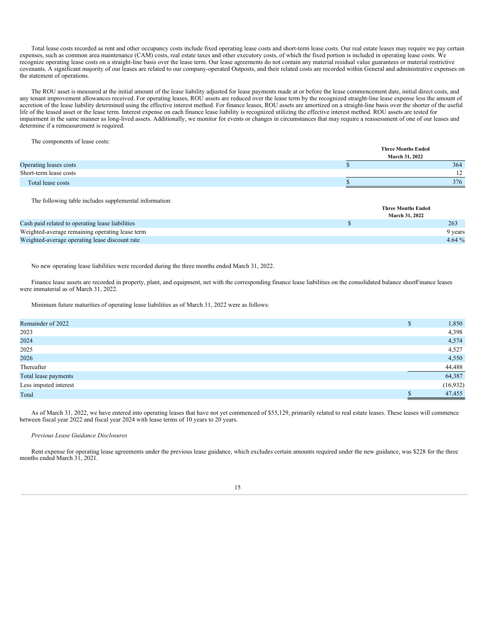Total lease costs recorded as rent and other occupancy costs include fixed operating lease costs and short-term lease costs. Our real estate leases may require we pay certain expenses, such as common area maintenance (CAM) costs, real estate taxes and other executory costs, of which the fixed portion is included in operating lease costs. We recognize operating lease costs on a straight-line basis over the lease term. Our lease agreements do not contain any material residual value guarantees or material restrictive covenants. A significant majority of our leases are related to our company-operated Outposts, and their related costs are recorded within General and administrative expenses on the statement of operations.

The ROU asset is measured at the initial amount of the lease liability adjusted for lease payments made at or before the lease commencement date, initial direct costs, and any tenant improvement allowances received. For operating leases, ROU assets are reduced over the lease term by the recognized straight-line lease expense less the amount of accretion of the lease liability determined using the effective interest method. For finance leases, ROU assets are amortized on a straight-line basis over the shorter of the useful life of the leased asset or the lease term. Interest expense on each finance lease liability is recognized utilizing the effective interest method. ROU assets are tested for impairment in the same manner as long-lived assets. Additionally, we monitor for events or changes in circumstances that may require a reassessment of one of our leases and determine if a remeasurement is required.

The components of lease costs:

|                        | <b>Three Months Ended</b><br><b>March 31, 2022</b> |
|------------------------|----------------------------------------------------|
| Operating leases costs | 364                                                |
| Short-term lease costs | 1 <sub>2</sub><br>$\perp$                          |
| Total lease costs      | 376                                                |

The following table includes supplemental information:

| <b>March 31, 2022</b>                                      | <b>Three Months Ended</b> |          |
|------------------------------------------------------------|---------------------------|----------|
|                                                            |                           |          |
| 263<br>Cash paid related to operating lease liabilities    |                           |          |
| Weighted-average remaining operating lease term<br>9 years |                           |          |
| Weighted-average operating lease discount rate             |                           | $4.64\%$ |

No new operating lease liabilities were recorded during the three months ended March 31, 2022.

Finance lease assets are recorded in property, plant, and equipment, net with the corresponding finance lease liabilities on the consolidated balance sheetFinance leases were immaterial as of March 31, 2022.

Minimum future maturities of operating lease liabilities as of March 31, 2022 were as follows:

| Remainder of 2022     | ъ | 1,850     |
|-----------------------|---|-----------|
| 2023                  |   | 4,398     |
| 2024                  |   | 4,574     |
| 2025                  |   | 4,527     |
| 2026                  |   | 4,550     |
| Thereafter            |   | 44,488    |
| Total lease payments  |   | 64,387    |
| Less imputed interest |   | (16, 932) |
| Total                 |   | 47,455    |

As of March 31, 2022, we have entered into operating leases that have not yet commenced of \$55,129, primarily related to real estate leases. These leases will commence between fiscal year 2022 and fiscal year 2024 with lease terms of 10 years to 20 years.

### *Previous Lease Guidance Disclosures*

Rent expense for operating lease agreements under the previous lease guidance, which excludes certain amounts required under the new guidance, was \$228 for the three months ended March 31, 2021.

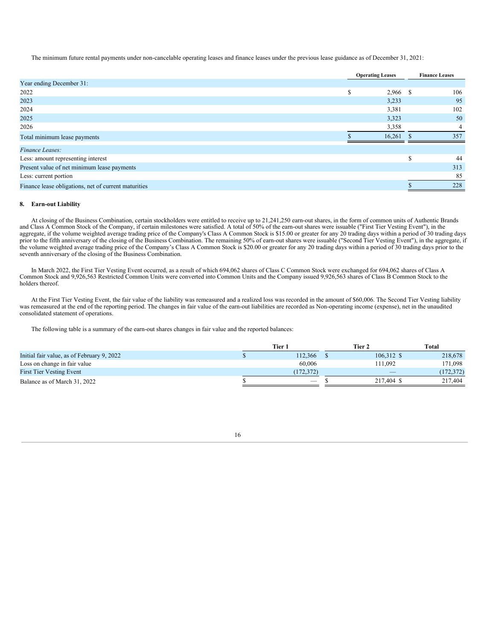The minimum future rental payments under non-cancelable operating leases and finance leases under the previous lease guidance as of December 31, 2021:

|                                                      | <b>Operating Leases</b> |   | <b>Finance Leases</b> |
|------------------------------------------------------|-------------------------|---|-----------------------|
| Year ending December 31:                             |                         |   |                       |
| 2022                                                 | S<br>2,966 \$           |   | 106                   |
| 2023                                                 | 3,233                   |   | 95                    |
| 2024                                                 | 3,381                   |   | 102                   |
| 2025                                                 | 3,323                   |   | 50                    |
| 2026                                                 | 3,358                   |   | 4                     |
| Total minimum lease payments                         | 16,261                  |   | 357                   |
| Finance Leases:                                      |                         |   |                       |
| Less: amount representing interest                   |                         | S | 44                    |
| Present value of net minimum lease payments          |                         |   | 313                   |
| Less: current portion                                |                         |   | 85                    |
| Finance lease obligations, net of current maturities |                         |   | 228                   |

### **8. Earn-out Liability**

At closing of the Business Combination, certain stockholders were entitled to receive up to 21,241,250 earn-out shares, in the form of common units of Authentic Brands and Class A Common Stock of the Company, if certain milestones were satisfied. A total of 50% of the earn-out shares were issuable ("First Tier Vesting Event"), in the aggregate, if the volume weighted average trading price of the Company's Class A Common Stock is \$15.00 or greater for any 20 trading days within a period of 30 trading days prior to the fifth anniversary of the closing of the Business Combination. The remaining 50% of earn-out shares were issuable ("Second Tier Vesting Event"), in the aggregate, if the volume weighted average trading price of the Company's Class A Common Stock is \$20.00 or greater for any 20 trading days within a period of 30 trading days prior to the seventh anniversary of the closing of the Business Combination.

In March 2022, the First Tier Vesting Event occurred, as a result of which 694,062 shares of Class C Common Stock were exchanged for 694,062 shares of Class A Common Stock and 9,926,563 Restricted Common Units were converted into Common Units and the Company issued 9,926,563 shares of Class B Common Stock to the holders thereof.

At the First Tier Vesting Event, the fair value of the liability was remeasured and a realized loss was recorded in the amount of \$60,006. The Second Tier Vesting liability was remeasured at the end of the reporting period. The changes in fair value of the earn-out liabilities are recorded as Non-operating income (expense), net in the unaudited consolidated statement of operations.

The following table is a summary of the earn-out shares changes in fair value and the reported balances:

|                                            | Tier 1                          | Tier 2                   | Total      |
|--------------------------------------------|---------------------------------|--------------------------|------------|
| Initial fair value, as of February 9, 2022 | 112.366                         | 106.312 \$               | 218,678    |
| Loss on change in fair value               | 60,006                          | 111.092                  | 171,098    |
| <b>First Tier Vesting Event</b>            | (172.372)                       | $\overline{\phantom{a}}$ | (172, 372) |
| Balance as of March 31, 2022               | $\hspace{0.1mm}-\hspace{0.1mm}$ | 217,404 \$               | 217,404    |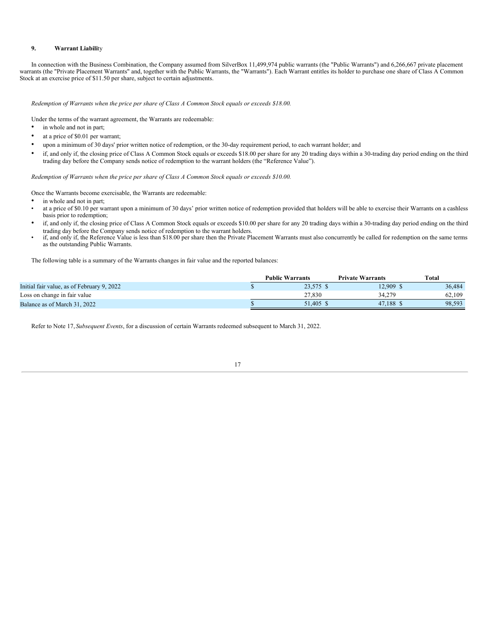### **9. Warrant Liabili**ty

In connection with the Business Combination, the Company assumed from SilverBox 11,499,974 public warrants (the "Public Warrants") and 6,266,667 private placement warrants (the "Private Placement Warrants" and, together with the Public Warrants, the "Warrants"). Each Warrant entitles its holder to purchase one share of Class A Common Stock at an exercise price of \$11.50 per share, subject to certain adjustments.

*Redemption of Warrants when the price per share of Class A Common Stock equals or exceeds \$18.00.*

Under the terms of the warrant agreement, the Warrants are redeemable:

- in whole and not in part;
- at a price of \$0.01 per warrant;
- upon a minimum of 30 days' prior written notice of redemption, or the 30-day requirement period, to each warrant holder; and
- if, and only if, the closing price of Class A Common Stock equals or exceeds \$18.00 per share for any 20 trading days within a 30-trading day period ending on the third trading day before the Company sends notice of redemption to the warrant holders (the "Reference Value").

*Redemption of Warrants when the price per share of Class A Common Stock equals or exceeds \$10.00.*

Once the Warrants become exercisable, the Warrants are redeemable:

- in whole and not in part;
- at a price of \$0.10 per warrant upon a minimum of 30 days' prior written notice of redemption provided that holders will be able to exercise their Warrants on a cashless basis prior to redemption;
- if, and only if, the closing price of Class A Common Stock equals or exceeds \$10.00 per share for any 20 trading days within a 30-trading day period ending on the third trading day before the Company sends notice of redemption to the warrant holders.
- if, and only if, the Reference Value is less than \$18.00 per share then the Private Placement Warrants must also concurrently be called for redemption on the same terms as the outstanding Public Warrants.

The following table is a summary of the Warrants changes in fair value and the reported balances:

|                                            | <b>Public Warrants</b> | <b>Private Warrants</b> | Total  |
|--------------------------------------------|------------------------|-------------------------|--------|
| Initial fair value, as of February 9, 2022 | 23.575 \$              | 12.909 \$               | 36,484 |
| Loss on change in fair value               | 27.830                 | 34.279                  | 62.109 |
| Balance as of March 31, 2022               | 51.405 \$              | 47.188                  | 98.593 |

Refer to Note 17, *Subsequent Events*, for a discussion of certain Warrants redeemed subsequent to March 31, 2022.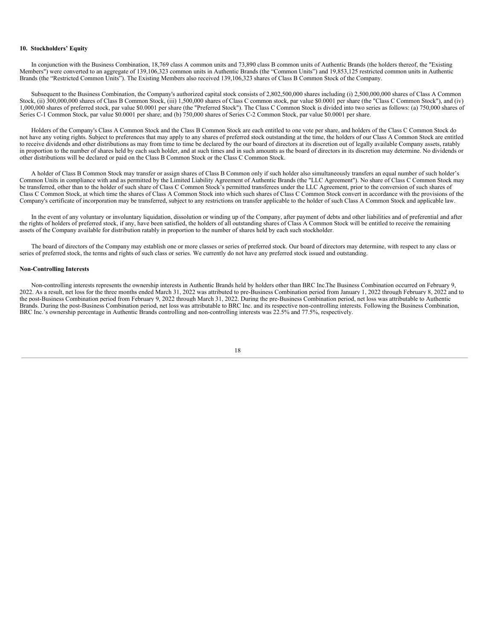### **10. Stockholders' Equity**

In conjunction with the Business Combination, 18,769 class A common units and 73,890 class B common units of Authentic Brands (the holders thereof, the "Existing Members") were converted to an aggregate of 139,106,323 common units in Authentic Brands (the "Common Units") and 19,853,125 restricted common units in Authentic Brands (the "Restricted Common Units"). The Existing Members also received 139,106,323 shares of Class B Common Stock of the Company.

Subsequent to the Business Combination, the Company's authorized capital stock consists of 2,802,500,000 shares including (i) 2,500,000,000 shares of Class A Common Stock, (ii) 300,000,000 shares of Class B Common Stock, (iii) 1,500,000 shares of Class C common stock, par value \$0.0001 per share (the "Class C Common Stock"), and (iv) 1,000,000 shares of preferred stock, par value \$0.0001 per share (the "Preferred Stock"). The Class C Common Stock is divided into two series as follows: (a) 750,000 shares of Series C-1 Common Stock, par value \$0.0001 per share; and (b) 750,000 shares of Series C-2 Common Stock, par value \$0.0001 per share.

Holders of the Company's Class A Common Stock and the Class B Common Stock are each entitled to one vote per share, and holders of the Class C Common Stock do not have any voting rights. Subject to preferences that may apply to any shares of preferred stock outstanding at the time, the holders of our Class A Common Stock are entitled to receive dividends and other distributions as may from time to time be declared by the our board of directors at its discretion out of legally available Company assets, ratably in proportion to the number of shares held by each such holder, and at such times and in such amounts as the board of directors in its discretion may determine. No dividends or other distributions will be declared or paid on the Class B Common Stock or the Class C Common Stock.

A holder of Class B Common Stock may transfer or assign shares of Class B Common only if such holder also simultaneously transfers an equal number of such holder's Common Units in compliance with and as permitted by the Limited Liability Agreement of Authentic Brands (the "LLC Agreement"). No share of Class C Common Stock may be transferred, other than to the holder of such share of Class C Common Stock's permitted transferees under the LLC Agreement, prior to the conversion of such shares of Class C Common Stock, at which time the shares of Class A Common Stock into which such shares of Class C Common Stock convert in accordance with the provisions of the Company's certificate of incorporation may be transferred, subject to any restrictions on transfer applicable to the holder of such Class A Common Stock and applicable law.

In the event of any voluntary or involuntary liquidation, dissolution or winding up of the Company, after payment of debts and other liabilities and of preferential and after the rights of holders of preferred stock, if any, have been satisfied, the holders of all outstanding shares of Class A Common Stock will be entitled to receive the remaining assets of the Company available for distribution ratably in proportion to the number of shares held by each such stockholder.

The board of directors of the Company may establish one or more classes or series of preferred stock. Our board of directors may determine, with respect to any class or series of preferred stock, the terms and rights of such class or series. We currently do not have any preferred stock issued and outstanding.

### **Non-Controlling Interests**

Non-controlling interests represents the ownership interests in Authentic Brands held by holders other than BRC Inc.The Business Combination occurred on February 9, 2022. As a result, net loss for the three months ended March 31, 2022 was attributed to pre-Business Combination period from January 1, 2022 through February 8, 2022 and to the post-Business Combination period from February 9, 2022 through March 31, 2022. During the pre-Business Combination period, net loss was attributable to Authentic Brands. During the post-Business Combination period, net loss was attributable to BRC Inc. and its respective non-controlling interests. Following the Business Combination, BRC Inc.'s ownership percentage in Authentic Brands controlling and non-controlling interests was 22.5% and 77.5%, respectively.

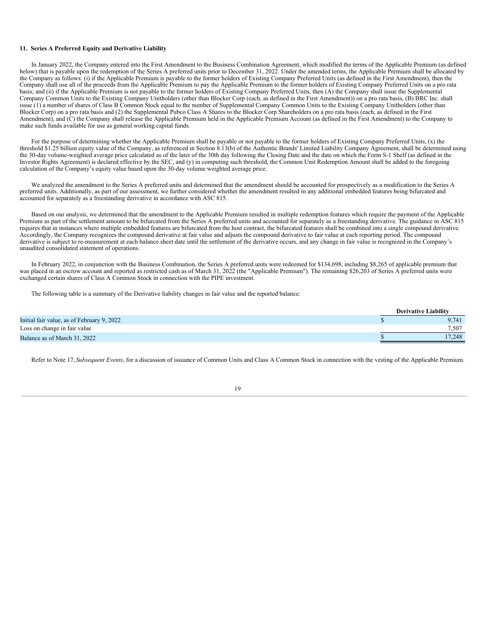### **11. Series A Preferred Equity and Derivative Liability**

In January 2022, the Company entered into the First Amendment to the Business Combination Agreement, which modified the terms of the Applicable Premium (as defined below) that is payable upon the redemption of the Series A preferred units prior to December 31, 2022. Under the amended terms, the Applicable Premium shall be allocated by the Company as follows: (i) if the Applicable Premium is payable to the former holders of Existing Company Preferred Units (as defined in the First Amendment), then the Company shall use all of the proceeds from the Applicable Premium to pay the Applicable Premium to the former holders of Existing Company Preferred Units on a pro rata basis; and (ii) if the Applicable Premium is not payable to the former holders of Existing Company Preferred Units, then (A) the Company shall issue the Supplemental Company Common Units to the Existing Company Unitholders (other than Blocker Corp (each, as defined in the First Amendment)) on a pro rata basis, (B) BRC Inc. shall issue (1) a number of shares of Class B Common Stock equal to the number of Supplemental Company Common Units to the Existing Company Unitholders (other than Blocker Corp) on a pro rata basis and (2) the Supplemental Pubco Class A Shares to the Blocker Corp Shareholders on a pro rata basis (each, as defined in the First Amendment), and (C) the Company shall release the Applicable Premium held in the Applicable Premium Account (as defined in the First Amendment) to the Company to make such funds available for use as general working capital funds.

For the purpose of determining whether the Applicable Premium shall be payable or not payable to the former holders of Existing Company Preferred Units, (x) the threshold \$1.25 billion equity value of the Company, as referenced in Section 8.13(b) of the Authentic Brands' Limited Liability Company Agreement, shall be determined using the 30-day volume-weighted average price calculated as of the later of the 30th day following the Closing Date and the date on which the Form S-1 Shelf (as defined in the Investor Rights Agreement) is declared effective by the SEC, and (y) in computing such threshold, the Common Unit Redemption Amount shall be added to the foregoing calculation of the Company's equity value based upon the 30-day volume weighted average price.

We analyzed the amendment to the Series A preferred units and determined that the amendment should be accounted for prospectively as a modification to the Series A preferred units. Additionally, as part of our assessment, we further considered whether the amendment resulted in any additional embedded features being bifurcated and accounted for separately as a freestanding derivative in accordance with ASC 815.

Based on our analysis, we determined that the amendment to the Applicable Premium resulted in multiple redemption features which require the payment of the Applicable Premium as part of the settlement amount to be bifurcated from the Series A preferred units and accounted for separately as a freestanding derivative. The guidance in ASC 815 requires that in instances where multiple embedded features are bifurcated from the host contract, the bifurcated features shall be combined into a single compound derivative. Accordingly, the Company recognizes the compound derivative at fair value and adjusts the compound derivative to fair value at each reporting period. The compound derivative is subject to re-measurement at each balance sheet date until the settlement of the derivative occurs, and any change in fair value is recognized in the Company's unaudited consolidated statement of operations.

In February 2022, in conjunction with the Business Combination, the Series A preferred units were redeemed for \$134,698, including \$8,265 of applicable premium that was placed in an escrow account and reported as restricted cash as of March 31, 2022 (the "Applicable Premium"). The remaining \$26,203 of Series A preferred units were exchanged certain shares of Class A Common Stock in connection with the PIPE investment.

The following table is a summary of the Derivative liability changes in fair value and the reported balance:

|                                            | <b>Derivative Liability</b> |
|--------------------------------------------|-----------------------------|
| Initial fair value, as of February 9, 2022 | 9.741                       |
| Loss on change in fair value               | 7.507                       |
| Balance as of March 31, 2022               | 17.248                      |

Refer to Note 17, Subsequent *Events*, for a discussion of issuance of Common Units and Class A Common Stock in connection with the vesting of the Applicable Premium.

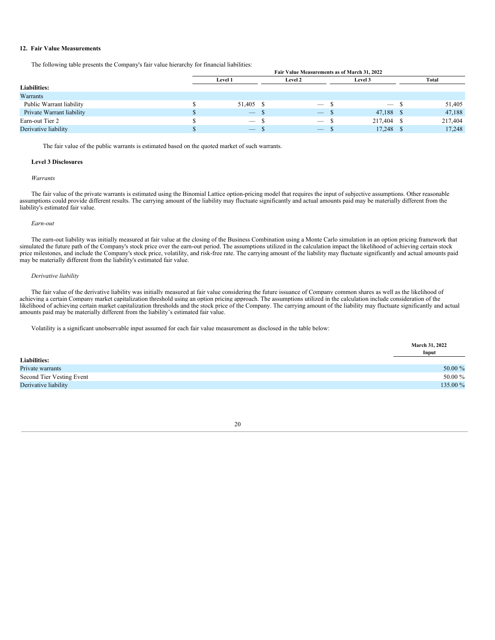### **12. Fair Value Measurements**

The following table presents the Company's fair value hierarchy for financial liabilities:

|                           | Fair Value Measurements as of March 31, 2022 |                                 |          |                                 |  |                                 |  |         |  |
|---------------------------|----------------------------------------------|---------------------------------|----------|---------------------------------|--|---------------------------------|--|---------|--|
|                           |                                              | <b>Level 1</b>                  |          | Level 2                         |  | <b>Level 3</b>                  |  | Total   |  |
| <b>Liabilities:</b>       |                                              |                                 |          |                                 |  |                                 |  |         |  |
| Warrants                  |                                              |                                 |          |                                 |  |                                 |  |         |  |
| Public Warrant liability  |                                              | 51,405 \$                       |          | $\hspace{0.1mm}-\hspace{0.1mm}$ |  | $\hspace{0.1mm}-\hspace{0.1mm}$ |  | 51,405  |  |
| Private Warrant liability |                                              | $\overline{\phantom{m}}$        | .D       | $\overline{\phantom{m}}$        |  | 47,188                          |  | 47,188  |  |
| Earn-out Tier 2           |                                              | $\hspace{0.1mm}-\hspace{0.1mm}$ | ۰D       | $\hspace{0.1mm}-\hspace{0.1mm}$ |  | 217,404                         |  | 217,404 |  |
| Derivative liability      |                                              | $\overline{\phantom{0}}$        | <b>J</b> |                                 |  | 17,248                          |  | 17,248  |  |

The fair value of the public warrants is estimated based on the quoted market of such warrants.

### **Level 3 Disclosures**

### *Warrants*

The fair value of the private warrants is estimated using the Binomial Lattice option-pricing model that requires the input of subjective assumptions. Other reasonable assumptions could provide different results. The carrying amount of the liability may fluctuate significantly and actual amounts paid may be materially different from the liability's estimated fair value.

#### *Earn-out*

The earn-out liability was initially measured at fair value at the closing of the Business Combination using a Monte Carlo simulation in an option pricing framework that simulated the future path of the Company's stock price over the earn-out period. The assumptions utilized in the calculation impact the likelihood of achieving certain stock price milestones, and include the Company's stock price, volatility, and risk-free rate. The carrying amount of the liability may fluctuate significantly and actual amounts paid may be materially different from the liability's estimated fair value.

### *Derivative liability*

The fair value of the derivative liability was initially measured at fair value considering the future issuance of Company common shares as well as the likelihood of achieving a certain Company market capitalization threshold using an option pricing approach. The assumptions utilized in the calculation include consideration of the likelihood of achieving certain market capitalization thresholds and the stock price of the Company. The carrying amount of the liability may fluctuate significantly and actual amounts paid may be materially different from the liability's estimated fair value.

Volatility is a significant unobservable input assumed for each fair value measurement as disclosed in the table below:

|                           | <b>March 31, 2022</b><br>Input |
|---------------------------|--------------------------------|
| <b>Liabilities:</b>       |                                |
| Private warrants          | 50.00 %                        |
| Second Tier Vesting Event | 50.00 %                        |
| Derivative liability      | 135.00 %                       |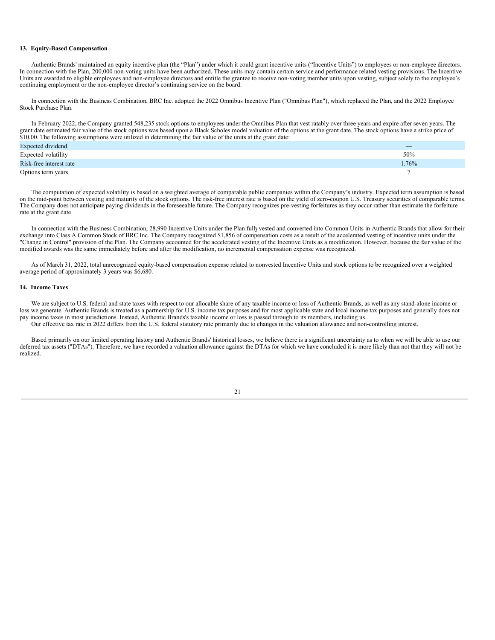### **13. Equity-Based Compensation**

Authentic Brands' maintained an equity incentive plan (the "Plan") under which it could grant incentive units ("Incentive Units") to employees or non-employee directors. In connection with the Plan, 200,000 non-voting units have been authorized. These units may contain certain service and performance related vesting provisions. The Incentive Units are awarded to eligible employees and non-employee directors and entitle the grantee to receive non-voting member units upon vesting, subject solely to the employee's continuing employment or the non-employee director's continuing service on the board.

In connection with the Business Combination, BRC Inc. adopted the 2022 Omnibus Incentive Plan ("Omnibus Plan"), which replaced the Plan, and the 2022 Employee Stock Purchase Plan.

In February 2022, the Company granted 548,235 stock options to employees under the Omnibus Plan that vest ratably over three years and expire after seven years. The grant date estimated fair value of the stock options was based upon a Black Scholes model valuation of the options at the grant date. The stock options have a strike price of \$10.00. The following assumptions were utilized in determining the fair value of the units at the grant date:

| Expected dividend       | $\overline{\phantom{a}}$ |
|-------------------------|--------------------------|
| Expected volatility     | 50%                      |
| Risk-free interest rate | 1.76%                    |
| Options term years      |                          |

The computation of expected volatility is based on a weighted average of comparable public companies within the Company's industry. Expected term assumption is based on the mid-point between vesting and maturity of the stock options. The risk-free interest rate is based on the yield of zero-coupon U.S. Treasury securities of comparable terms. The Company does not anticipate paying dividends in the foreseeable future. The Company recognizes pre-vesting forfeitures as they occur rather than estimate the forfeiture rate at the grant date.

In connection with the Business Combination, 28,990 Incentive Units under the Plan fullyvested and converted into Common Units in Authentic Brands that allow for their exchange into Class A Common Stock of BRC Inc. The Company recognized \$1,856 of compensation costs as a result of the accelerated vesting of incentive units under the "Change in Control" provision of the Plan. The Company accounted for the accelerated vesting of the Incentive Units as a modification. However, because the fair value of the modified awards was the same immediately before and after the modification, no incremental compensation expense was recognized.

As of March 31, 2022, total unrecognized equity-based compensation expense related to nonvested Incentive Units and stock options to be recognized over a weighted average period of approximately 3 years was \$6,680.

### **14. Income Taxes**

We are subject to U.S. federal and state taxes with respect to our allocable share of any taxable income or loss of Authentic Brands, as well as any stand-alone income or loss we generate. Authentic Brands is treated as a partnership for U.S. income tax purposes and for most applicable state and local income tax purposes and generally does not pay income taxes in most jurisdictions. Instead, Authentic Brands's taxable income or loss is passed through to its members, including us. Our effective tax rate in 2022 differs from the U.S. federal statutory rate primarily due to changes in the valuation allowance and non-controlling interest.

Based primarily on our limited operating history and Authentic Brands' historical losses, we believe there is a significant uncertainty as to when we will be able to use our deferred tax assets ("DTAs"). Therefore, we have recorded a valuation allowance against the DTAs for which we have concluded it is more likely than not that they will not be realized.

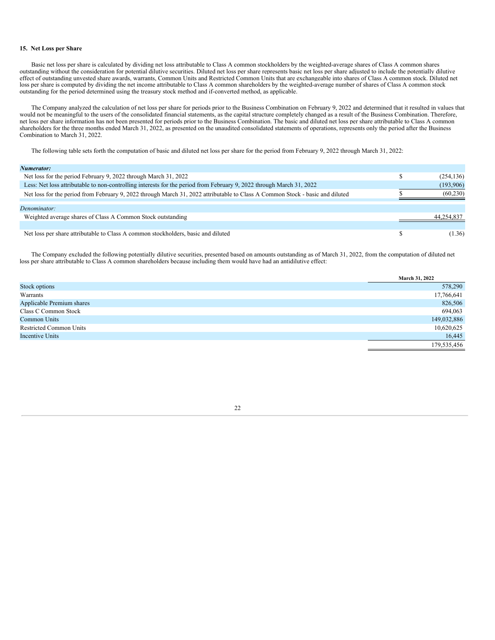### **15. Net Loss per Share**

Basic net loss per share is calculated by dividing net loss attributable to Class A common stockholders by the weighted-average shares of Class A common shares outstanding without the consideration for potential dilutive securities. Diluted net loss per share represents basic net loss per share adjusted to include the potentially dilutive effect of outstanding unvested share awards, warrants, Common Units and Restricted Common Units that are exchangeable into shares of Class A common stock. Diluted net loss per share is computed by dividing the net income attributable to Class A common shareholders by the weighted-average number of shares of Class A common stock outstanding for the period determined using the treasury stock method and if-converted method, as applicable.

The Company analyzed the calculation of net loss per share for periods prior to the Business Combination on February 9, 2022 and determined that it resulted in values that would not be meaningful to the users of the consolidated financial statements, as the capital structure completely changed as a result of the Business Combination. Therefore, net loss per share information has not been presented for periods prior to the Business Combination. The basic and diluted net loss per share attributable to Class A common shareholders for the three months ended March 31, 2022, as presented on the unaudited consolidated statements of operations, represents only the period after the Business Combination to March 31, 2022.

The following table sets forth the computation of basic and diluted net loss per share for the period from February 9, 2022 through March 31, 2022:

| Numerator: |  |
|------------|--|
|------------|--|

| .                                                                                                                             |            |
|-------------------------------------------------------------------------------------------------------------------------------|------------|
| Net loss for the period February 9, 2022 through March 31, 2022                                                               | (254, 136) |
| Less: Net loss attributable to non-controlling interests for the period from February 9, 2022 through March 31, 2022          | (193,906)  |
| Net loss for the period from February 9, 2022 through March 31, 2022 attributable to Class A Common Stock - basic and diluted | (60, 230)  |
|                                                                                                                               |            |
| Denominator:                                                                                                                  |            |
| Weighted average shares of Class A Common Stock outstanding                                                                   | 44,254,837 |
|                                                                                                                               |            |
| Net loss per share attributable to Class A common stockholders, basic and diluted                                             | (1.36)     |
|                                                                                                                               |            |

The Company excluded the following potentially dilutive securities, presented based on amounts outstanding as of March 31, 2022, from the computation of diluted net loss per share attributable to Class A common shareholders because including them would have had an antidilutive effect:

|                                | March 31, 2022 |
|--------------------------------|----------------|
| Stock options                  | 578,290        |
| Warrants                       | 17,766,641     |
| Applicable Premium shares      | 826,506        |
| Class C Common Stock           | 694,063        |
| Common Units                   | 149,032,886    |
| <b>Restricted Common Units</b> | 10,620,625     |
| <b>Incentive Units</b>         | 16,445         |
|                                | 179,535,456    |
|                                |                |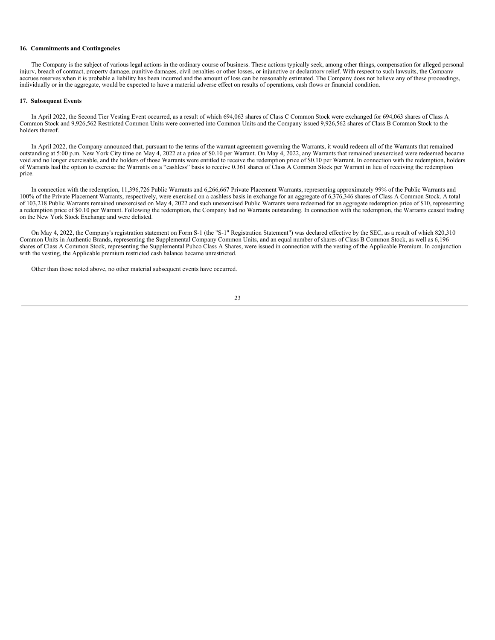### **16. Commitments and Contingencies**

The Company is the subject of various legal actions in the ordinary course of business. These actions typically seek, among other things, compensation for alleged personal injury, breach of contract, property damage, punitive damages, civil penalties or other losses, or injunctive or declaratory relief. With respect to such lawsuits, the Company accrues reserves when it is probable a liability has been incurred and the amount of loss can be reasonably estimated. The Company does not believe any of these proceedings, individually or in the aggregate, would be expected to have a material adverse effect on results of operations, cash flows or financial condition.

### **17. Subsequent Events**

In April 2022, the Second Tier Vesting Event occurred, as a result of which 694,063 shares of Class C Common Stock were exchanged for 694,063 shares of Class A Common Stock and 9,926,562 Restricted Common Units were converted into Common Units and the Company issued 9,926,562 shares of Class B Common Stock to the holders thereof.

In April 2022, the Company announced that, pursuant to the terms of the warrant agreement governing the Warrants, it would redeem all of the Warrants that remained outstanding at 5:00 p.m. New York City time on May 4, 2022 at a price of \$0.10 per Warrant. On May 4, 2022, any Warrants that remained unexercised were redeemed became void and no longer exercisable, and the holders of those Warrants were entitled to receive the redemption price of \$0.10 per Warrant. In connection with the redemption, holders of Warrants had the option to exercise the Warrants on a "cashless" basis to receive 0.361 shares of Class A Common Stock per Warrant in lieu of receiving the redemption price.

In connection with the redemption, 11,396,726 Public Warrants and 6,266,667 Private Placement Warrants, representing approximately 99% of the Public Warrants and 100% of the Private Placement Warrants, respectively, were exercised on a cashless basis in exchange for an aggregate of 6,376,346 shares of Class A Common Stock. A total of 103,218 Public Warrants remained unexercised on May 4, 2022 and such unexercised Public Warrants were redeemed for an aggregate redemption price of \$10, representing a redemption price of \$0.10 per Warrant. Following the redemption, the Company had no Warrants outstanding. In connection with the redemption, the Warrants ceased trading on the New York Stock Exchange and were delisted.

On May 4, 2022, the Company's registration statement on Form S-1 (the "S-1" Registration Statement") was declared effective by the SEC, as a result of which 820,310 Common Units in Authentic Brands, representing the Supplemental Company Common Units, and an equal number of shares of Class B Common Stock, as well as 6,196 shares of Class A Common Stock, representing the Supplemental Pubco Class A Shares, were issued in connection with the vesting of the Applicable Premium. In conjunction with the vesting, the Applicable premium restricted cash balance became unrestricted.

<span id="page-26-0"></span>Other than those noted above, no other material subsequent events have occurred.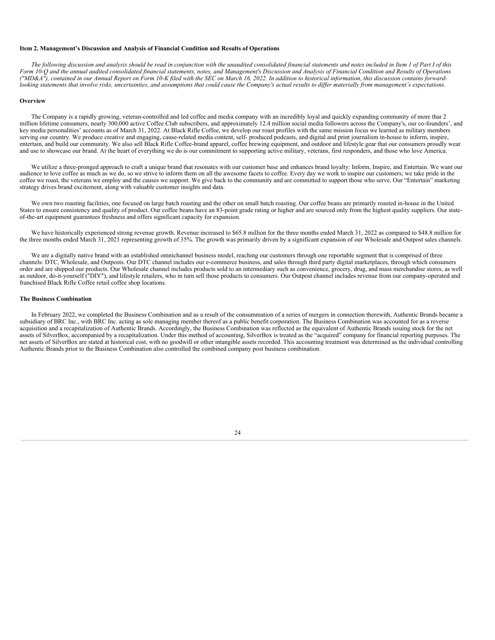### **Item 2. Management's Discussion and Analysis of Financial Condition and Results of Operations**

The following discussion and analysis should be read in conjunction with the unaudited consolidated financial statements and notes included in Item 1 of Part I of this Form 10-Q and the annual audited consolidated financial statements, notes, and Management's Discussion and Analysis of Financial Condition and Results of Operations ("MD&A"), contained in our Annual Report on Form 10-K filed with the SEC on March 16, 2022. In addition to historical information, this discussion contains forwardlooking statements that involve risks, uncertainties, and assumptions that could cause the Company's actual results to differ materially from management's expectations.

#### **Overview**

The Company is a rapidly growing, veteran-controlled and led coffee and media company with an incredibly loyal and quickly expanding community of more than 2 million lifetime consumers, nearly 300,000 active Coffee Club subscribers, and approximately 12.4 million social media followers across the Company's, our co-founders', and key media personalities' accounts as of March 31, 2022. At Black Rifle Coffee, we develop our roast profiles with the same mission focus we learned as military members serving our country. We produce creative and engaging, cause-related media content, self- produced podcasts, and digital and print journalism in-house to inform, inspire, entertain, and build our community. We also sell Black Rifle Coffee-brand apparel, coffee brewing equipment, and outdoor and lifestyle gear that our consumers proudly wear and use to showcase our brand. At the heart of everything we do is our commitment to supporting active military, veterans, first responders, and those who love America.

We utilize a three-pronged approach to craft a unique brand that resonates with our customer base and enhances brand loyalty: Inform, Inspire, and Entertain. We want our audience to love coffee as much as we do, so we strive to inform them on all the awesome facets to coffee. Every day we work to inspire our customers; we take pride in the coffee we roast, the veterans we employ and the causes we support. We give back to the community and are committed to support those who serve. Our "Entertain" marketing strategy drives brand excitement, along with valuable customer insights and data.

We own two roasting facilities, one focused on large batch roasting and the other on small batch roasting. Our coffee beans are primarily roasted in-house in the United States to ensure consistency and quality of product. Our coffee beans have an 83-point grade rating or higher and are sourced only from the highest quality suppliers. Our stateof-the-art equipment guarantees freshness and offers significant capacity for expansion.

We have historically experienced strong revenue growth. Revenue increased to \$65.8 million for the three months ended March 31, 2022 as compared to \$48.8 million for the three months ended March 31, 2021 representing growth of 35%. The growth was primarily driven by a significant expansion of our Wholesale and Outpost sales channels.

We are a digitally native brand with an established omnichannel business model, reaching our customers through one reportable segment that is comprised of three channels: DTC, Wholesale, and Outposts. Our DTC channel includes our e-commerce business, and sales through third party digital marketplaces, through which consumers order and are shipped our products. Our Wholesale channel includes products sold to an intermediary such as convenience, grocery, drug, and mass merchandise stores, as well as outdoor, do-it-yourself ("DIY"), and lifestyle retailers, who in turn sell those products to consumers. Our Outpost channel includes revenue from our company-operated and franchised Black Rifle Coffee retail coffee shop locations.

#### **The Business Combination**

In February 2022, we completed the Business Combination and as a result of the consummation of a series of mergers in connection therewith, Authentic Brands became a subsidiary of BRC Inc., with BRC Inc. acting as sole managing member thereof as a public benefit corporation. The Business Combination was accounted for as a reverse acquisition and a recapitalization of Authentic Brands. Accordingly, the Business Combination was reflected as the equivalent of Authentic Brands issuing stock for the net assets of SilverBox, accompanied by a recapitalization. Under this method of accounting, SilverBox is treated as the "acquired" company for financial reporting purposes. The net assets of SilverBox are stated at historical cost, with no goodwill or other intangible assets recorded. This accounting treatment was determined as the individual controlling Authentic Brands prior to the Business Combination also controlled the combined company post business combination.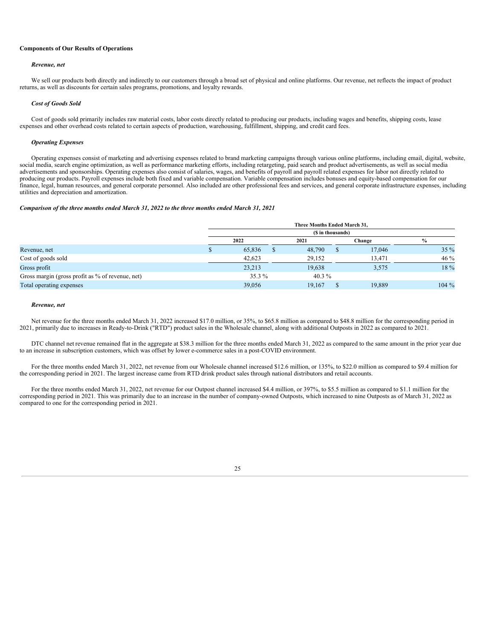### **Components of Our Results of Operations**

#### *Revenue, net*

We sell our products both directly and indirectly to our customers through a broad set of physical and online platforms. Our revenue, net reflects the impact of product returns, as well as discounts for certain sales programs, promotions, and loyalty rewards.

#### *Cost of Goods Sold*

Cost of goods sold primarily includes raw material costs, labor costs directly related to producing our products, including wages and benefits, shipping costs, lease expenses and other overhead costs related to certain aspects of production, warehousing, fulfillment, shipping, and credit card fees.

#### *Operating Expenses*

Operating expenses consist of marketing and advertising expenses related to brand marketing campaigns through various online platforms, including email, digital, website, social media, search engine optimization, as well as performance marketing efforts, including retargeting, paid search and product advertisements, as well as social media advertisements and sponsorships. Operating expenses also consist of salaries, wages, and benefits of payroll and payroll related expenses for labor not directly related to producing our products. Payroll expenses include both fixed and variable compensation. Variable compensation includes bonuses and equity-based compensation for our finance, legal, human resources, and general corporate personnel. Also included are other professional fees and services, and general corporate infrastructure expenses, including utilities and depreciation and amortization.

#### *Comparison of the three months ended March 31, 2022 to the three months ended March 31, 2021*

|                                                  |                   |   | Three Months Ended March 31. |  |        |               |  |  |
|--------------------------------------------------|-------------------|---|------------------------------|--|--------|---------------|--|--|
|                                                  | (\$ in thousands) |   |                              |  |        |               |  |  |
|                                                  | 2022              |   | 2021                         |  | Change | $\frac{0}{0}$ |  |  |
| Revenue, net                                     | 65,836            | S | 48,790                       |  | 17,046 | $35\%$        |  |  |
| Cost of goods sold                               | 42.623            |   | 29.152                       |  | 13.471 | $46\%$        |  |  |
| Gross profit                                     | 23,213            |   | 19,638                       |  | 3,575  | 18 %          |  |  |
| Gross margin (gross profit as % of revenue, net) | $35.3\%$          |   | 40.3 $%$                     |  |        |               |  |  |
| Total operating expenses                         | 39.056            |   | 19.167                       |  | 19.889 | $104\%$       |  |  |

#### *Revenue, net*

Net revenue for the three months ended March 31, 2022 increased \$17.0 million, or 35%, to \$65.8 million as compared to \$48.8 million for the corresponding period in 2021, primarily due to increases in Ready-to-Drink ("RTD") product sales in the Wholesale channel, along with additional Outposts in 2022 as compared to 2021.

DTC channel net revenue remained flat in the aggregate at \$38.3 million for the three months ended March 31, 2022 as compared to the same amount in the prior year due to an increase in subscription customers, which was offset by lower e-commerce sales in a post-COVID environment.

For the three months ended March 31, 2022, net revenue from our Wholesale channel increased \$12.6 million, or 135%, to \$22.0 million as compared to \$9.4 million for the corresponding period in 2021. The largest increase came from RTD drink product sales through national distributors and retail accounts.

For the three months ended March 31, 2022, net revenue for our Outpost channel increased \$4.4 million, or 397%, to \$5.5 million as compared to \$1.1 million for the corresponding period in 2021. This was primarily due to an increase in the number of company-owned Outposts, which increased to nine Outposts as of March 31, 2022 as compared to one for the corresponding period in 2021.

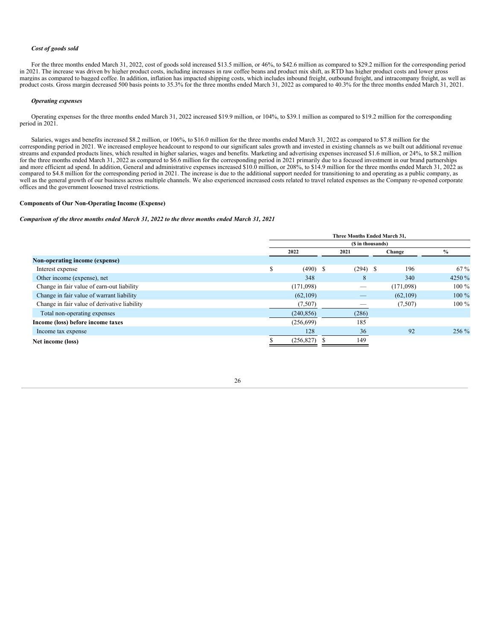### *Cost of goods sold*

For the three months ended March 31, 2022, cost of goods sold increased \$13.5 million, or 46%, to \$42.6 million as compared to \$29.2 million for the corresponding period in 2021. The increase was driven by higher product costs, including increases in raw coffee beans and product mix shift, as RTD has higher product costs and lower gross margins as compared to bagged coffee. In addition, inflation has impacted shipping costs, which includes inbound freight, outbound freight, and intracompany freight, as well as product costs. Gross margin decreased 500 basis points to 35.3% for the three months ended March 31, 2022 as compared to 40.3% for the three months ended March 31, 2021.

#### *Operating expenses*

Operating expenses for the three months ended March 31, 2022 increased \$19.9 million, or 104%, to \$39.1 million as compared to \$19.2 million for the corresponding period in 2021.

Salaries, wages and benefits increased \$8.2 million, or 106%, to \$16.0 million for the three months ended March 31, 2022 as compared to \$7.8 million for the corresponding period in 2021. We increased employee headcount to respond to our significant sales growth and invested in existing channels as we built out additional revenue streams and expanded products lines, which resulted in higher salaries, wages and benefits. Marketing and advertising expenses increased \$1.6 million, or 24%, to \$8.2 million for the three months ended March 31, 2022 as compared to \$6.6 million for the corresponding period in 2021 primarily due to a focused investment in our brand partnerships and more efficient ad spend. In addition, General and administrative expenses increased \$10.0 million, or 208%, to \$14.9 million for the three months ended March 31, 2022 as compared to \$4.8 million for the corresponding period in 2021. The increase is due to the additional support needed for transitioning to and operating as a public company, as well as the general growth of our business across multiple channels. We also experienced increased costs related to travel related expenses as the Company re-opened corporate offices and the government loosened travel restrictions.

### **Components of Our Non-Operating Income (Expense)**

#### *Comparison of the three months ended March 31, 2022 to the three months ended March 31, 2021*

|                                              | Three Months Ended March 31. |            |            |           |         |  |  |
|----------------------------------------------|------------------------------|------------|------------|-----------|---------|--|--|
|                                              | (S in thousands)             |            |            |           |         |  |  |
|                                              |                              | 2022       | 2021       | Change    | $\%$    |  |  |
| Non-operating income (expense)               |                              |            |            |           |         |  |  |
| Interest expense                             | S                            | $(490)$ \$ | $(294)$ \$ | 196       | $67\%$  |  |  |
| Other income (expense), net                  |                              | 348        | 8          | 340       | 4250 %  |  |  |
| Change in fair value of earn-out liability   |                              | (171,098)  | --         | (171,098) | $100\%$ |  |  |
| Change in fair value of warrant liability    |                              | (62, 109)  |            | (62, 109) | $100\%$ |  |  |
| Change in fair value of derivative liability |                              | (7,507)    |            | (7,507)   | $100\%$ |  |  |
| Total non-operating expenses                 |                              | (240, 856) | (286)      |           |         |  |  |
| Income (loss) before income taxes            |                              | (256, 699) | 185        |           |         |  |  |
| Income tax expense                           |                              | 128        | 36         | 92        | $256\%$ |  |  |
| Net income (loss)                            |                              | (256, 827) | 149        |           |         |  |  |

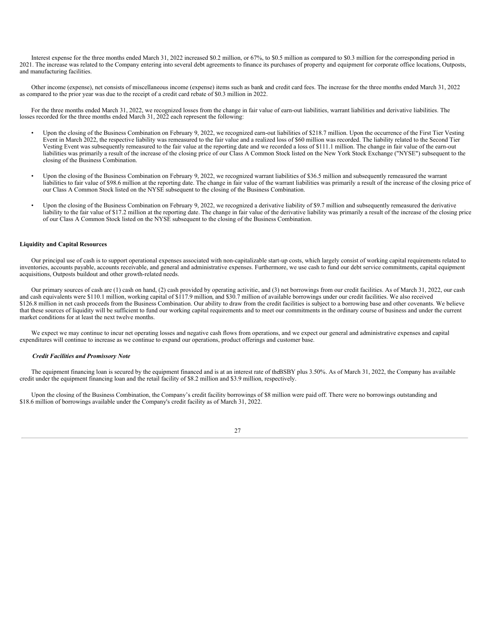Interest expense for the three months ended March 31, 2022 increased \$0.2 million, or 67%, to \$0.5 million as compared to \$0.3 million for the corresponding period in 2021. The increase was related to the Company entering into several debt agreements to finance its purchases of property and equipment for corporate office locations, Outposts, and manufacturing facilities.

Other income (expense), net consists of miscellaneous income (expense) items such as bank and credit card fees. The increase for the three months ended March 31, 2022 as compared to the prior year was due to the receipt of a credit card rebate of \$0.3 million in 2022.

For the three months ended March 31, 2022, we recognized losses from the change in fair value of earn-out liabilities, warrant liabilities and derivative liabilities. The losses recorded for the three months ended March 31, 2022 each represent the following:

- Upon the closing of the Business Combination on February 9, 2022, we recognized earn-out liabilities of \$218.7 million. Upon the occurrence of the First Tier Vesting Event in March 2022, the respective liability was remeasured to the fair value and a realized loss of \$60 million was recorded. The liability related to the Second Tier Vesting Event was subsequently remeasured to the fair value at the reporting date and we recorded a loss of \$111.1 million. The change in fair value of the earn-out liabilities was primarily a result of the increase of the closing price of our Class A Common Stock listed on the New York Stock Exchange ("NYSE") subsequent to the closing of the Business Combination.
- Upon the closing of the Business Combination on February 9, 2022, we recognized warrant liabilities of \$36.5 million and subsequently remeasured the warrant liabilities to fair value of \$98.6 million at the reporting date. The change in fair value of the warrant liabilities was primarily a result of the increase of the closing price of our Class A Common Stock listed on the NYSE subsequent to the closing of the Business Combination.
- Upon the closing of the Business Combination on February 9, 2022, we recognized a derivative liability of \$9.7 million and subsequently remeasured the derivative liability to the fair value of \$17.2 million at the reporting date. The change in fair value of the derivative liability was primarily a result of the increase of the closing price of our Class A Common Stock listed on the NYSE subsequent to the closing of the Business Combination.

### **Liquidity and Capital Resources**

Our principal use of cash is to support operational expenses associated with non-capitalizable start-up costs, which largely consist of working capital requirements related to inventories, accounts payable, accounts receivable, and general and administrative expenses. Furthermore, we use cash to fund our debt service commitments, capital equipment acquisitions, Outposts buildout and other growth-related needs.

Our primary sources of cash are (1) cash on hand, (2) cash provided by operating activities, and (3) net borrowings from our credit facilities. As of March 31, 2022, our cash and cash equivalents were \$110.1 million, working capital of \$117.9 million, and \$30.7 million of available borrowings under our credit facilities. We also received \$126.8 million in net cash proceeds from the Business Combination. Our ability to draw from the credit facilities is subject to a borrowing base and other covenants. We believe that these sources of liquidity will be sufficient to fund our working capital requirements and to meet our commitments in the ordinary course of business and under the current market conditions for at least the next twelve months.

We expect we may continue to incur net operating losses and negative cash flows from operations, and we expect our general and administrative expenses and capital expenditures will continue to increase as we continue to expand our operations, product offerings and customer base.

#### *Credit Facilities and Promissory Note*

The equipment financing loan is secured by the equipment financed and is at an interest rate of the BSBY plus 3.50%. As of March 31, 2022, the Company has available credit under the equipment financing loan and the retail facility of \$8.2 million and \$3.9 million, respectively.

Upon the closing of the Business Combination, the Company's credit facility borrowings of \$8 million were paid off. There were no borrowings outstanding and \$18.6 million of borrowings available under the Company's credit facility as of March 31, 2022.

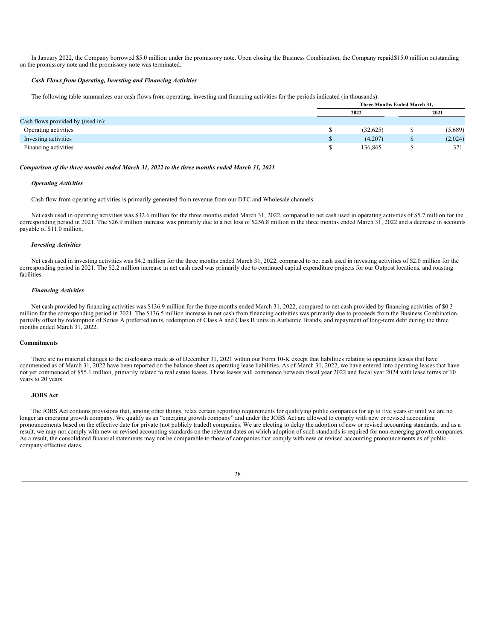In January 2022, the Company borrowed \$5.0 million under the promissory note. Upon closing the Business Combination, the Company repaid\$15.0 million outstanding on the promissory note and the promissory note was terminated.

#### *Cash Flows from Operating, Investing and Financing Activities*

The following table summarizes our cash flows from operating, investing and financing activities for the periods indicated (in thousands):

|                                   | Three Months Ended March 31, |           |         |  |  |
|-----------------------------------|------------------------------|-----------|---------|--|--|
|                                   | 2022                         |           | 2021    |  |  |
| Cash flows provided by (used in): |                              |           |         |  |  |
| Operating activities              | (32,625)                     | w         | (5,689) |  |  |
| Investing activities              | (4,207)                      | <b>ND</b> | (2,024) |  |  |
| Financing activities              | 136,865                      |           | 321     |  |  |

### *Comparison of the three months ended March 31, 2022 to the three months ended March 31, 2021*

#### *Operating Activities*

Cash flow from operating activities is primarily generated from revenue from our DTC and Wholesale channels.

Net cash used in operating activities was \$32.6 million for the three months ended March 31, 2022, compared to net cash used in operating activities of \$5.7 million for the corresponding period in 2021. The \$26.9 million increase was primarily due to a net loss of \$256.8 million in the three months ended March 31, 2022 and a decrease in accounts payable of \$11.0 million.

### *Investing Activities*

Net cash used in investing activities was \$4.2 million for the three months ended March 31, 2022, compared to net cash used in investing activities of \$2.0 million for the corresponding period in 2021. The \$2.2 million increase in net cash used was primarily due to continued capital expenditure projects for our Outpost locations, and roasting facilities.

#### *Financing Activities*

Net cash provided by financing activities was \$136.9 million for the three months ended March 31, 2022, compared to net cash provided by financing activities of \$0.3 million for the corresponding period in 2021. The \$136.5 million increase in net cash from financing activities was primarily due to proceeds from the Business Combination, partially offset by redemption of Series A preferred units, redemption of Class A and Class B units in Authentic Brands, and repayment of long-term debt during the three months ended March 31, 2022.

#### **Commitments**

There are no material changes to the disclosures made as of December 31, 2021 within our Form 10-K except that liabilities relating to operating leases that have commenced as of March 31, 2022 have been reported on the balance sheet as operating lease liabilities. As of March 31, 2022, we have entered into operating leases that have not yet commenced of \$55.1 million, primarily related to real estate leases. These leases will commence between fiscal year 2022 and fiscal year 2024 with lease terms of 10 years to 20 years.

### **JOBS Act**

The JOBS Act contains provisions that, among other things, relax certain reporting requirements for qualifying public companies for up to five years or until we are no longer an emerging growth company. We qualify as an "emerging growth company" and under the JOBS Act are allowed to comply with new or revised accounting pronouncements based on the effective date for private (not publicly traded) companies. We are electing to delay the adoption of new or revised accounting standards, and as a result, we may not comply with new or revised accounting standards on the relevant dates on which adoption of such standards is required for non-emerging growth companies. As a result, the consolidated financial statements may not be comparable to those of companies that comply with new or revised accounting pronouncements as of public company effective dates.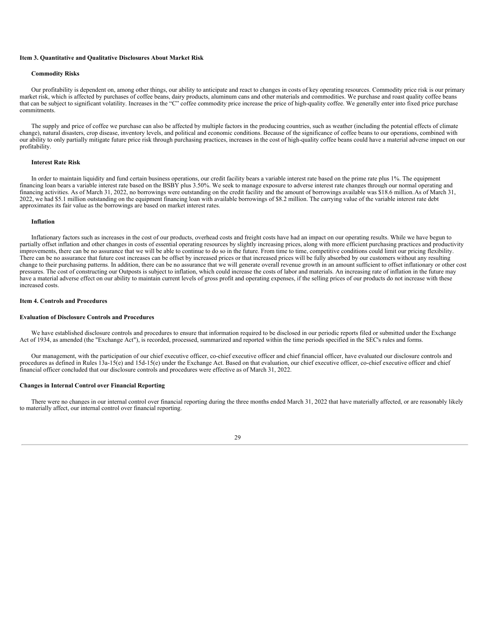### <span id="page-32-0"></span>**Item 3. Quantitative and Qualitative Disclosures About Market Risk**

#### **Commodity Risks**

Our profitability is dependent on, among other things, our ability to anticipate and react to changes in costs of key operating resources. Commodity price risk is our primary market risk, which is affected by purchases of coffee beans, dairy products, aluminum cans and other materials and commodities. We purchase and roast quality coffee beans that can be subject to significant volatility. Increases in the "C" coffee commodity price increase the price of high-quality coffee. We generally enter into fixed price purchase commitments.

The supply and price of coffee we purchase can also be affected by multiple factors in the producing countries, such as weather (including the potential effects of climate change), natural disasters, crop disease, inventory levels, and political and economic conditions. Because of the significance of coffee beans to our operations, combined with our ability to only partially mitigate future price risk through purchasing practices, increases in the cost of high-quality coffee beans could have a material adverse impact on our profitability.

### **Interest Rate Risk**

In order to maintain liquidity and fund certain business operations, our credit facility bears a variable interest rate based on the prime rate plus 1%. The equipment financing loan bears a variable interest rate based on the BSBY plus 3.50%. We seek to manage exposure to adverse interest rate changes through our normal operating and financing activities. As of March 31, 2022, no borrowings were outstanding on the credit facility and the amount of borrowings available was \$18.6 million.As of March 31, 2022, we had \$5.1 million outstanding on the equipment financing loan with available borrowings of \$8.2 million. The carrying value of the variable interest rate debt approximates its fair value as the borrowings are based on market interest rates.

#### **Inflation**

Inflationary factors such as increases in the cost of our products, overhead costs and freight costs have had an impact on our operating results. While we have begun to partially offset inflation and other changes in costs of essential operating resources by slightly increasing prices, along with more efficient purchasing practices and productivity improvements, there can be no assurance that we will be able to continue to do so in the future. From time to time, competitive conditions could limit our pricing flexibility. There can be no assurance that future cost increases can be offset by increased prices or that increased prices will be fully absorbed by our customers without any resulting change to their purchasing patterns. In addition, there can be no assurance that we will generate overall revenue growth in an amount sufficient to offset inflationary or other cost pressures. The cost of constructing our Outposts is subject to inflation, which could increase the costs of labor and materials. An increasing rate of inflation in the future may have a material adverse effect on our ability to maintain current levels of gross profit and operating expenses, if the selling prices of our products do not increase with these increased costs.

#### <span id="page-32-1"></span>**Item 4. Controls and Procedures**

#### **Evaluation of Disclosure Controls and Procedures**

We have established disclosure controls and procedures to ensure that information required to be disclosed in our periodic reports filed or submitted under the Exchange Act of 1934, as amended (the "Exchange Act"), is recorded, processed, summarized and reported within the time periods specified in the SEC's rules and forms.

Our management, with the participation of our chief executive officer, co-chief executive officer and chief financial officer, have evaluated our disclosure controls and procedures as defined in Rules 13a-15(e) and 15d-15(e) under the Exchange Act. Based on that evaluation, our chief executive officer, co-chief executive officer and chief financial officer concluded that our disclosure controls and procedures were effective as of March 31, 2022.

### **Changes in Internal Control over Financial Reporting**

<span id="page-32-2"></span>There were no changes in our internal control over financial reporting during the three months ended March 31, 2022 that have materially affected, or are reasonably likely to materially affect, our internal control over financial reporting.

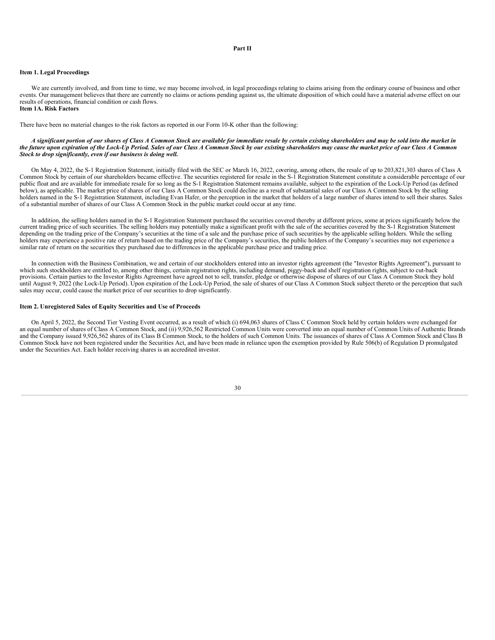#### **Part II**

#### <span id="page-33-1"></span>**Item 1. Legal Proceedings**

We are currently involved, and from time to time, we may become involved, in legal proceedings relating to claims arising from the ordinary course of business and other events. Our management believes that there are currently no claims or actions pending against us, the ultimate disposition of which could have a material adverse effect on our results of operations, financial condition or cash flows. **Item 1A. Risk Factors**

<span id="page-33-0"></span>There have been no material changes to the risk factors as reported in our Form 10-K other than the following:

#### A significant portion of our shares of Class A Common Stock are available for immediate resale by certain existing shareholders and may be sold into the market in the future upon expiration of the Lock-Up Period. Sales of our Class A Common Stock by our existing shareholders may cause the market price of our Class A Common *Stock to drop significantly, even if our business is doing well.*

On May 4, 2022, the S-1 Registration Statement, initially filed with the SEC on March 16, 2022, covering, among others, the resale of up to 203,821,303 shares of Class A Common Stock by certain of our shareholders became effective. The securities registered for resale in the S-1 Registration Statement constitute a considerable percentage of our public float and are available for immediate resale for so long as the S-1 Registration Statement remains available, subject to the expiration of the Lock-Up Period (as defined below), as applicable. The market price of shares of our Class A Common Stock could decline as a result of substantial sales of our Class A Common Stock by the selling holders named in the S-1 Registration Statement, including Evan Hafer, or the perception in the market that holders of a large number of shares intend to sell their shares. Sales of a substantial number of shares of our Class A Common Stock in the public market could occur at any time.

In addition, the selling holders named in the S-1 Registration Statement purchased the securities covered thereby at different prices, some at prices significantly below the current trading price of such securities. The selling holders may potentially make a significant profit with the sale of the securities covered by the S-1 Registration Statement depending on the trading price of the Company's securities at the time of a sale and the purchase price of such securities by the applicable selling holders. While the selling holders may experience a positive rate of return based on the trading price of the Company's securities, the public holders of the Company's securities may not experience a similar rate of return on the securities they purchased due to differences in the applicable purchase price and trading price.

In connection with the Business Combination, we and certain of our stockholders entered into an investor rights agreement (the "Investor Rights Agreement"), pursuant to which such stockholders are entitled to, among other things, certain registration rights, including demand, piggy-back and shelf registration rights, subject to cut-back provisions. Certain parties to the Investor Rights Agreement have agreed not to sell, transfer, pledge or otherwise dispose of shares of our Class A Common Stock they hold until August 9, 2022 (the Lock-Up Period). Upon expiration of the Lock-Up Period, the sale of shares of our Class A Common Stock subject thereto or the perception that such sales may occur, could cause the market price of our securities to drop significantly.

#### <span id="page-33-2"></span>**Item 2. Unregistered Sales of Equity Securities and Use of Proceeds**

On April 5, 2022, the Second Tier Vesting Event occurred, as a result of which (i) 694,063 shares of Class C Common Stock held by certain holders were exchanged for an equal number of shares of Class A Common Stock, and (ii) 9,926,562 Restricted Common Units were converted into an equal number of Common Units of Authentic Brands and the Company issued 9,926,562 shares of its Class B Common Stock, to the holders of such Common Units. The issuances of shares of Class A Common Stock and Class B Common Stock have not been registered under the Securities Act, and have been made in reliance upon the exemption provided by Rule 506(b) of Regulation D promulgated under the Securities Act. Each holder receiving shares is an accredited investor.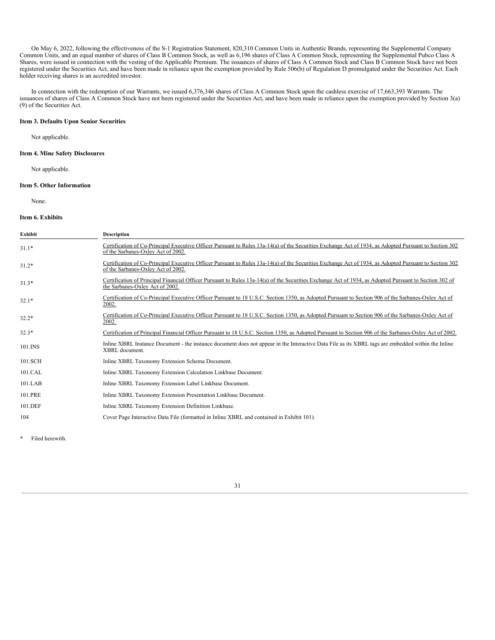On May 6, 2022, following the effectiveness of the S-1 Registration Statement, 820,310 Common Units in Authentic Brands, representing the Supplemental Company Common Units, and an equal number of shares of Class B Common Stock, as well as 6,196 shares of Class A Common Stock, representing the Supplemental Pubco Class A Shares, were issued in connection with the vesting of the Applicable Premium. The issuances of shares of Class A Common Stock and Class B Common Stock have not been registered under the Securities Act, and have been made in reliance upon the exemption provided by Rule 506(b) of Regulation D promulgated under the Securities Act. Each holder receiving shares is an accredited investor.

In connection with the redemption of our Warrants, we issued 6,376,346 shares of Class A Common Stock upon the cashless exercise of 17,663,393 Warrants. The issuances of shares of Class A Common Stock have not been registered under the Securities Act, and have been made in reliance upon the exemption provided by Section 3(a) (9) of the Securities Act.

### <span id="page-34-0"></span>**Item 3. Defaults Upon Senior Securities**

Not applicable.

### <span id="page-34-1"></span>**Item 4. Mine Safety Disclosures**

Not applicable.

## <span id="page-34-2"></span>**Item 5. Other Information**

None.

#### <span id="page-34-3"></span>**Item 6. Exhibits**

| Exhibit | <b>Description</b>                                                                                                                                                                           |
|---------|----------------------------------------------------------------------------------------------------------------------------------------------------------------------------------------------|
| $31.1*$ | Certification of Co-Principal Executive Officer Pursuant to Rules 13a-14(a) of the Securities Exchange Act of 1934, as Adopted Pursuant to Section 302<br>of the Sarbanes-Oxley Act of 2002. |
| $31.2*$ | Certification of Co-Principal Executive Officer Pursuant to Rules 13a-14(a) of the Securities Exchange Act of 1934, as Adopted Pursuant to Section 302<br>of the Sarbanes-Oxley Act of 2002. |
| $31.3*$ | Certification of Principal Financial Officer Pursuant to Rules 13a-14(a) of the Securities Exchange Act of 1934, as Adopted Pursuant to Section 302 of<br>the Sarbanes-Oxley Act of 2002.    |
| $32.1*$ | Certification of Co-Principal Executive Officer Pursuant to 18 U.S.C. Section 1350, as Adopted Pursuant to Section 906 of the Sarbanes-Oxley Act of<br>2002.                                 |
| $32.2*$ | Certification of Co-Principal Executive Officer Pursuant to 18 U.S.C. Section 1350, as Adopted Pursuant to Section 906 of the Sarbanes-Oxley Act of<br>2002.                                 |
| $32.3*$ | Certification of Principal Financial Officer Pursuant to 18 U.S.C. Section 1350, as Adopted Pursuant to Section 906 of the Sarbanes-Oxley Act of 2002.                                       |
| 101.INS | Inline XBRL Instance Document - the instance document does not appear in the Interactive Data File as its XBRL tags are embedded within the Inline<br>XBRL document.                         |
| 101.SCH | Inline XBRL Taxonomy Extension Schema Document.                                                                                                                                              |
| 101.CAL | Inline XBRL Taxonomy Extension Calculation Linkbase Document.                                                                                                                                |
| 101.LAB | Inline XBRL Taxonomy Extension Label Linkbase Document.                                                                                                                                      |
| 101.PRE | Inline XBRL Taxonomy Extension Presentation Linkbase Document.                                                                                                                               |
| 101.DEF | Inline XBRL Taxonomy Extension Definition Linkbase.                                                                                                                                          |
| 104     | Cover Page Interactive Data File (formatted in Inline XBRL and contained in Exhibit 101).                                                                                                    |

<span id="page-34-4"></span>\* Filed herewith.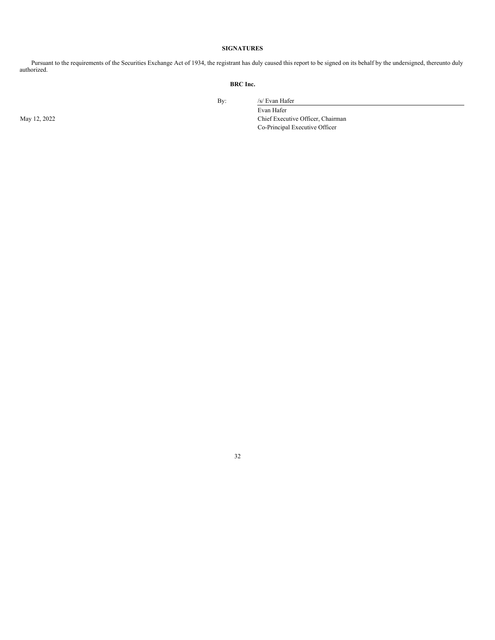# **SIGNATURES**

Pursuant to the requirements of the Securities Exchange Act of 1934, the registrant has duly caused this report to be signed on its behalf by the undersigned, thereunto duly authorized.

# **BRC Inc.**

By: /s/ Evan Hafer

Evan Hafer May 12, 2022 Chief Executive Officer, Chairman Co-Principal Executive Officer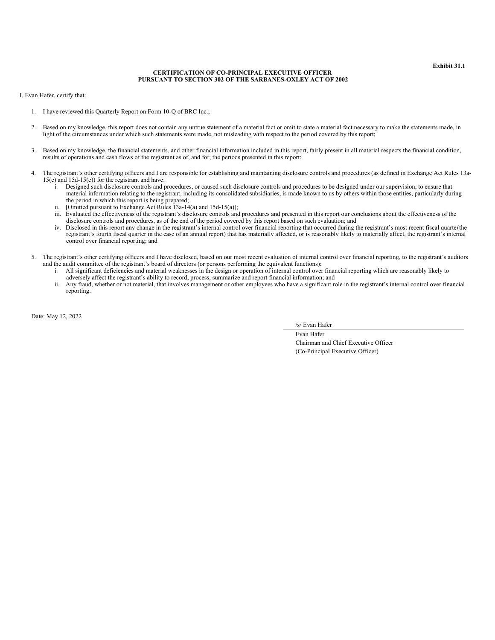**Exhibit 31.1**

### **CERTIFICATION OF CO-PRINCIPAL EXECUTIVE OFFICER PURSUANT TO SECTION 302 OF THE SARBANES-OXLEY ACT OF 2002**

<span id="page-36-0"></span>I, Evan Hafer, certify that:

- 1. I have reviewed this Quarterly Report on Form 10-Q of BRC Inc.;
- 2. Based on my knowledge, this report does not contain any untrue statement of a material fact or omit to state a material fact necessary to make the statements made, in light of the circumstances under which such statements were made, not misleading with respect to the period covered by this report;
- 3. Based on my knowledge, the financial statements, and other financial information included in this report, fairly present in all material respects the financial condition, results of operations and cash flows of the registrant as of, and for, the periods presented in this report;
- 4. The registrant's other certifying officers and I are responsible for establishing and maintaining disclosure controls and procedures (as defined in Exchange Act Rules 13a-15(e) and 15d-15(e)) for the registrant and have:
	- i. Designed such disclosure controls and procedures, or caused such disclosure controls and procedures to be designed under our supervision, to ensure that material information relating to the registrant, including its consolidated subsidiaries, is made known to us by others within those entities, particularly during the period in which this report is being prepared;
	- ii. [Omitted pursuant to Exchange Act Rules  $\hat{1}3a-14(a)$  and  $15d-15(a)$ ];
	- iii. Evaluated the effectiveness of the registrant's disclosure controls and procedures and presented in this report our conclusions about the effectiveness of the disclosure controls and procedures, as of the end of the period covered by this report based on such evaluation; and
	- iv. Disclosed in this report any change in the registrant's internal control over financial reporting that occurred during the registrant's most recent fiscal quarte (the registrant's fourth fiscal quarter in the case of an annual report) that has materially affected, or is reasonably likely to materially affect, the registrant's internal control over financial reporting; and
- 5. The registrant's other certifying officers and I have disclosed, based on our most recent evaluation of internal control over financial reporting, to the registrant's auditors and the audit committee of the registrant's board of directors (or persons performing the equivalent functions):
	- i. All significant deficiencies and material weaknesses in the design or operation of internal control over financial reporting which are reasonably likely to adversely affect the registrant's ability to record, process, summarize and report financial information; and
	- ii. Any fraud, whether or not material, that involves management or other employees who have a significant role in the registrant's internal control over financial reporting.

Date: May 12, 2022

/s/ Evan Hafer

Evan Hafer Chairman and Chief Executive Officer (Co-Principal Executive Officer)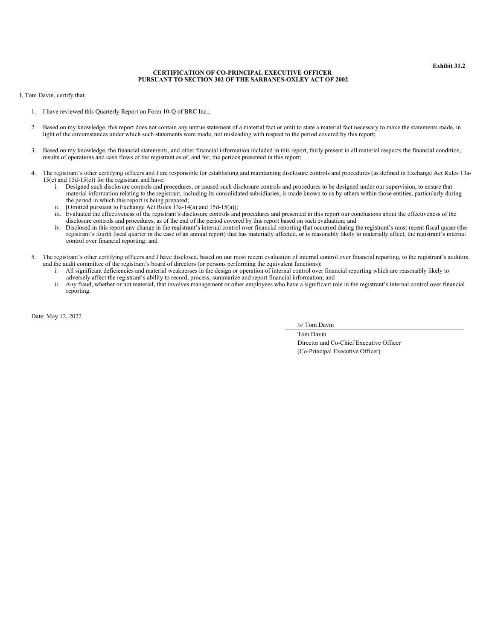#### **Exhibit 31.2**

### **CERTIFICATION OF CO-PRINCIPAL EXECUTIVE OFFICER PURSUANT TO SECTION 302 OF THE SARBANES-OXLEY ACT OF 2002**

<span id="page-37-0"></span>I, Tom Davin, certify that:

- 1. I have reviewed this Quarterly Report on Form 10-Q of BRC Inc.;
- 2. Based on my knowledge, this report does not contain any untrue statement of a material fact or omit to state a material fact necessary to make the statements made, in light of the circumstances under which such statements were made, not misleading with respect to the period covered by this report;
- 3. Based on my knowledge, the financial statements, and other financial information included in this report, fairly present in all material respects the financial condition, results of operations and cash flows of the registrant as of, and for, the periods presented in this report;
- 4. The registrant's other certifying officers and I are responsible for establishing and maintaining disclosure controls and procedures (as defined in Exchange Act Rules 13a-15(e) and 15d-15(e)) for the registrant and have:
	- i. Designed such disclosure controls and procedures, or caused such disclosure controls and procedures to be designed under our supervision, to ensure that material information relating to the registrant, including its consolidated subsidiaries, is made known to us by others within those entities, particularly during the period in which this report is being prepared;
	- ii. [Omitted pursuant to Exchange Act Rules  $\hat{1}3a-14(a)$  and  $15d-15(a)$ ];
	- iii. Evaluated the effectiveness of the registrant's disclosure controls and procedures and presented in this report our conclusions about the effectiveness of the disclosure controls and procedures, as of the end of the period covered by this report based on such evaluation; and
	- iv. Disclosed in this report any change in the registrant's internal control over financial reporting that occurred during the registrant's most recent fiscal quaer (the registrant's fourth fiscal quarter in the case of an annual report) that has materially affected, or is reasonably likely to materially affect, the registrant's internal control over financial reporting; and
- 5. The registrant's other certifying officers and I have disclosed, based on our most recent evaluation of internal control over financial reporting, to the registrant's auditors and the audit committee of the registrant's board of directors (or persons performing the equivalent functions):
	- i. All significant deficiencies and material weaknesses in the design or operation of internal control over financial reporting which are reasonably likely to adversely affect the registrant's ability to record, process, summarize and report financial information; and
	- ii. Any fraud, whether or not material, that involves management or other employees who have a significant role in the registrant's internal control over financial reporting.

Date: May 12, 2022

/s/ Tom Davin

Tom Davin Director and Co-Chief Executive Officer (Co-Principal Executive Officer)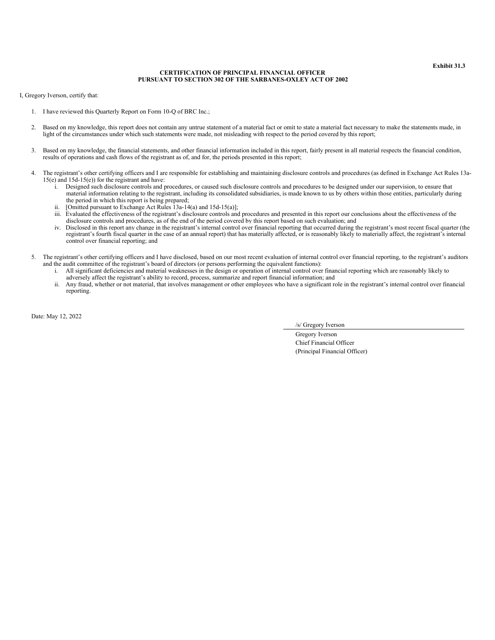#### **CERTIFICATION OF PRINCIPAL FINANCIAL OFFICER PURSUANT TO SECTION 302 OF THE SARBANES-OXLEY ACT OF 2002**

<span id="page-38-0"></span>I, Gregory Iverson, certify that:

- 1. I have reviewed this Quarterly Report on Form 10-Q of BRC Inc.;
- 2. Based on my knowledge, this report does not contain any untrue statement of a material fact or omit to state a material fact necessary to make the statements made, in light of the circumstances under which such statements were made, not misleading with respect to the period covered by this report;
- 3. Based on my knowledge, the financial statements, and other financial information included in this report, fairly present in all material respects the financial condition, results of operations and cash flows of the registrant as of, and for, the periods presented in this report;
- 4. The registrant's other certifying officers and I are responsible for establishing and maintaining disclosure controls and procedures (as defined in Exchange Act Rules 13a-15(e) and 15d-15(e)) for the registrant and have:
	- i. Designed such disclosure controls and procedures, or caused such disclosure controls and procedures to be designed under our supervision, to ensure that material information relating to the registrant, including its consolidated subsidiaries, is made known to us by others within those entities, particularly during the period in which this report is being prepared;
	- ii. [Omitted pursuant to Exchange Act Rules  $\hat{1}3a-14(a)$  and  $15d-15(a)$ ];
	- iii. Evaluated the effectiveness of the registrant's disclosure controls and procedures and presented in this report our conclusions about the effectiveness of the disclosure controls and procedures, as of the end of the period covered by this report based on such evaluation; and
	- iv. Disclosed in this report any change in the registrant's internal control over financial reporting that occurred during the registrant's most recent fiscal quarter (the registrant's fourth fiscal quarter in the case of an annual report) that has materially affected, or is reasonably likely to materially affect, the registrant's internal control over financial reporting; and
- 5. The registrant's other certifying officers and I have disclosed, based on our most recent evaluation of internal control over financial reporting, to the registrant's auditors and the audit committee of the registrant's board of directors (or persons performing the equivalent functions):
	- i. All significant deficiencies and material weaknesses in the design or operation of internal control over financial reporting which are reasonably likely to adversely affect the registrant's ability to record, process, summarize and report financial information; and
	- ii. Any fraud, whether or not material, that involves management or other employees who have a significant role in the registrant's internal control over financial reporting.

Date: May 12, 2022

/s/ Gregory Iverson

Gregory Iverson Chief Financial Officer (Principal Financial Officer)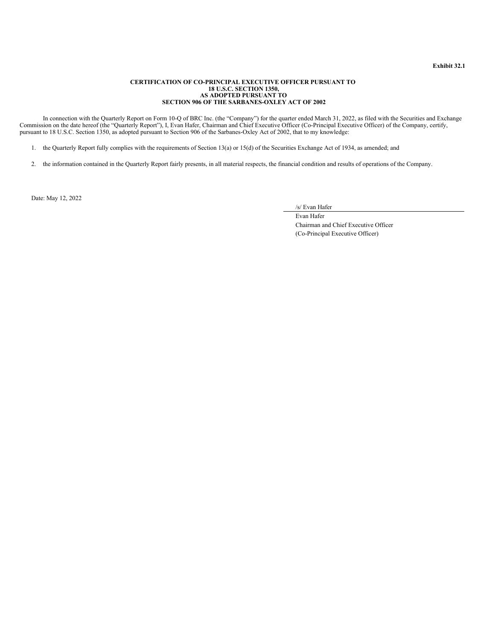## **Exhibit 32.1**

#### **CERTIFICATION OF CO-PRINCIPAL EXECUTIVE OFFICER PURSUANT TO 18 U.S.C. SECTION 1350, AS ADOPTED PURSUANT TO SECTION 906 OF THE SARBANES-OXLEY ACT OF 2002**

<span id="page-39-0"></span>In connection with the Quarterly Report on Form 10-Q of BRC Inc. (the "Company") for the quarter ended March 31, 2022, as filed with the Securities and Exchange Commission on the date hereof (the "Quarterly Report"), I, Evan Hafer, Chairman and Chief Executive Officer (Co-Principal Executive Officer) of the Company, certify, pursuant to 18 U.S.C. Section 1350, as adopted pursuant to Section 906 of the Sarbanes-Oxley Act of 2002, that to my knowledge:

1. the Quarterly Report fully complies with the requirements of Section 13(a) or 15(d) of the Securities Exchange Act of 1934, as amended; and

2. the information contained in the Quarterly Report fairly presents, in all material respects, the financial condition and results of operations of the Company.

Date: May 12, 2022

/s/ Evan Hafer

Evan Hafer Chairman and Chief Executive Officer (Co-Principal Executive Officer)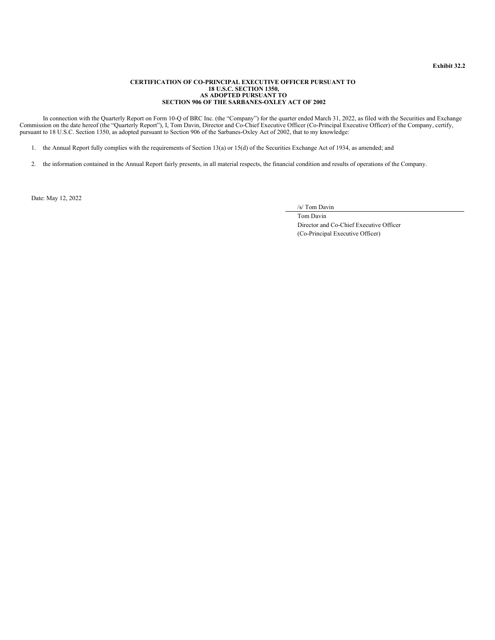## **Exhibit 32.2**

#### **CERTIFICATION OF CO-PRINCIPAL EXECUTIVE OFFICER PURSUANT TO 18 U.S.C. SECTION 1350, AS ADOPTED PURSUANT TO SECTION 906 OF THE SARBANES-OXLEY ACT OF 2002**

<span id="page-40-0"></span>In connection with the Quarterly Report on Form 10-Q of BRC Inc. (the "Company") for the quarter ended March 31, 2022, as filed with the Securities and Exchange Commission on the date hereof (the "Quarterly Report"), I, Tom Davin, Director and Co-Chief Executive Officer (Co-Principal Executive Officer) of the Company, certify, pursuant to 18 U.S.C. Section 1350, as adopted pursuant to Section 906 of the Sarbanes-Oxley Act of 2002, that to my knowledge:

1. the Annual Report fully complies with the requirements of Section 13(a) or 15(d) of the Securities Exchange Act of 1934, as amended; and

2. the information contained in the Annual Report fairly presents, in all material respects, the financial condition and results of operations of the Company.

Date: May 12, 2022

/s/ Tom Davin

Tom Davin Director and Co-Chief Executive Officer (Co-Principal Executive Officer)